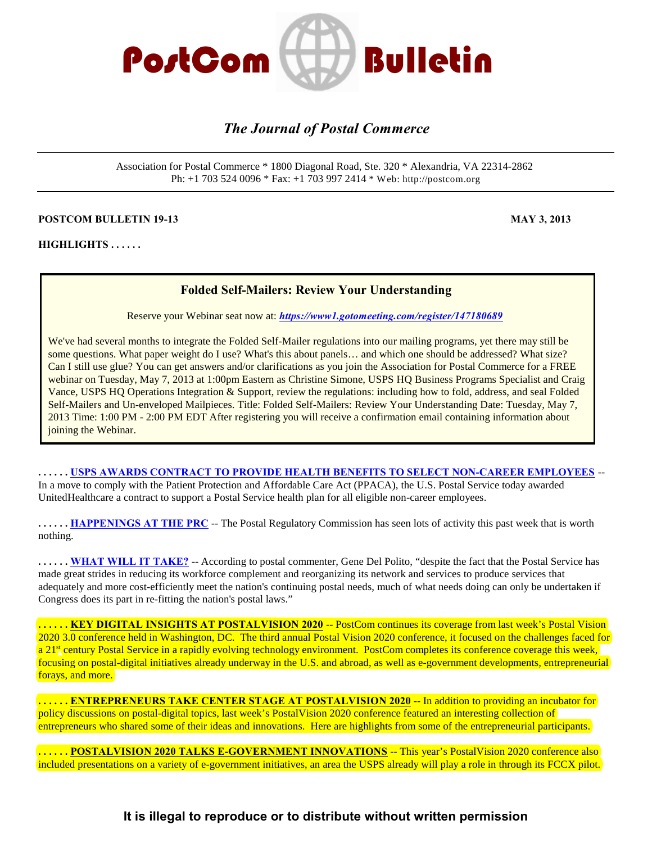

# *The Journal of Postal Commerce*

Association for Postal Commerce \* 1800 Diagonal Road, Ste. 320 \* Alexandria, VA 22314-2862 Ph: +1 703 524 0096 \* Fax: +1 703 997 2414 \* Web: http://postcom.org

#### **POSTCOM BULLETIN 19-13** MAY 3, 2013

**HIGHLIGHTS . . . . . .** 

#### **Folded Self-Mailers: Review Your Understanding**

Reserve your Webinar seat now at: *<https://www1.gotomeeting.com/register/147180689>*

We've had several months to integrate the Folded Self-Mailer regulations into our mailing programs, yet there may still be some questions. What paper weight do I use? What's this about panels… and which one should be addressed? What size? Can I still use glue? You can get answers and/or clarifications as you join the Association for Postal Commerce for a FREE webinar on Tuesday, May 7, 2013 at 1:00pm Eastern as Christine Simone, USPS HQ Business Programs Specialist and Craig Vance, USPS HQ Operations Integration & Support, review the regulations: including how to fold, address, and seal Folded Self-Mailers and Un-enveloped Mailpieces. Title: Folded Self-Mailers: Review Your Understanding Date: Tuesday, May 7, 2013 Time: 1:00 PM - 2:00 PM EDT After registering you will receive a confirmation email containing information about joining the Webinar.

**. . . . . . [USPS AWARDS CONTRACT TO PROVIDE HEALTH BENEFITS TO SELECT NON-CAREER EMPLOYEES](#page-1-0)** -- In a move to comply with the Patient Protection and Affordable Care Act (PPACA), the U.S. Postal Service today awarded UnitedHealthcare a contract to support a Postal Service health plan for all eligible non-career employees.

**...... [HAPPENINGS AT THE PRC](#page-1-1)** -- The Postal Regulatory Commission has seen lots of activity this past week that is worth nothing.

**. . . . . . [WHAT WILL IT TAKE?](#page-2-0)** -- According to postal commenter, Gene Del Polito, "despite the fact that the Postal Service has made great strides in reducing its workforce complement and reorganizing its network and services to produce services that adequately and more cost-efficiently meet the nation's continuing postal needs, much of what needs doing can only be undertaken if Congress does its part in re-fitting the nation's postal laws."

**. . . . . . [KEY DIGITAL INSIGHTS AT POSTALVISION 2020](#page-4-0)** -- PostCom continues its coverage from last week's Postal Vision 2020 3.0 conference held in Washington, DC. The third annual Postal Vision 2020 conference, it focused on the challenges faced for a 21<sup>st</sup> century Postal Service in a rapidly evolving technology environment. PostCom completes its conference coverage this week, focusing on postal-digital initiatives already underway in the U.S. and abroad, as well as e-government developments, entrepreneurial forays, and more.

**. . . . . . [ENTREPRENEURS TAKE CENTER STAGE AT POSTALVISION 2020](#page-5-0)** -- In addition to providing an incubator for policy discussions on postal-digital topics, last week's PostalVision 2020 conference featured an interesting collection of entrepreneurs who shared some of their ideas and innovations. Here are highlights from some of the entrepreneurial participants.

**. . . . . . [POSTALVISION 2020 TALKS E-GOVERNMENT INNOVATIONS](#page-6-0)** -- This year's PostalVision 2020 conference also included presentations on a variety of e-government initiatives, an area the USPS already will play a role in through its FCCX pilot.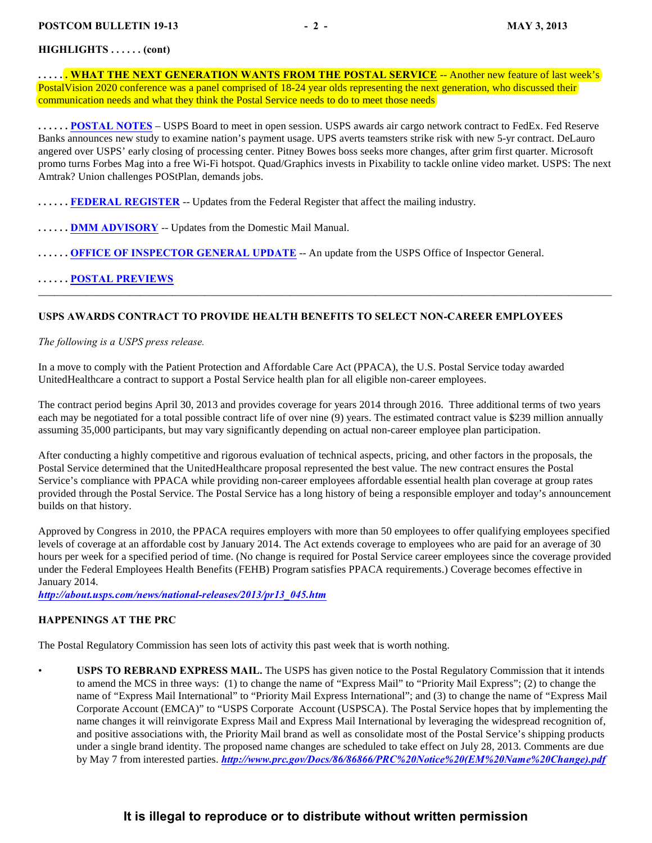#### **HIGHLIGHTS . . . . . . (cont)**

**..... WHAT THE NEXT GENERATION WANTS FROM THE POSTAL SERVICE** -- Another new feature of last week's PostalVision 2020 conference was a panel comprised of 18-24 year olds representing the next generation, who discussed their communication needs and what they think the Postal Service needs to do to meet those needs

**. . . . . . [POSTAL NOTES](#page-8-0)** – USPS Board to meet in open session. USPS awards air cargo network contract to FedEx. Fed Reserve Banks announces new study to examine nation's payment usage. UPS averts teamsters strike risk with new 5-yr contract. DeLauro angered over USPS' early closing of processing center. Pitney Bowes boss seeks more changes, after grim first quarter. Microsoft promo turns Forbes Mag into a free Wi-Fi hotspot. Quad/Graphics invests in Pixability to tackle online video market. USPS: The next Amtrak? Union challenges POStPlan, demands jobs.

\_\_\_\_\_\_\_\_\_\_\_\_\_\_\_\_\_\_\_\_\_\_\_\_\_\_\_\_\_\_\_\_\_\_\_\_\_\_\_\_\_\_\_\_\_\_\_\_\_\_\_\_\_\_\_\_\_\_\_\_\_\_\_\_\_\_\_\_\_\_\_\_\_\_\_\_\_\_\_\_\_\_\_\_\_\_\_\_\_\_\_\_\_\_\_\_\_\_\_\_\_\_\_\_\_\_\_

**. . . . . . [FEDERAL REGISTER](#page-10-0)** -- Updates from the Federal Register that affect the mailing industry.

- **. . . . . . [DMM ADVISORY](#page-10-1)** -- Updates from the Domestic Mail Manual.
- **...... OFFICE OF INSPECTOR GENERAL UPDATE** -- An update from the USPS Office of Inspector General.

#### **. . . . . . [POSTAL PREVIEWS](#page-16-0)**

#### <span id="page-1-0"></span>**USPS AWARDS CONTRACT TO PROVIDE HEALTH BENEFITS TO SELECT NON-CAREER EMPLOYEES**

#### *The following is a USPS press release.*

In a move to comply with the Patient Protection and Affordable Care Act (PPACA), the U.S. Postal Service today awarded UnitedHealthcare a contract to support a Postal Service health plan for all eligible non-career employees.

The contract period begins April 30, 2013 and provides coverage for years 2014 through 2016. Three additional terms of two years each may be negotiated for a total possible contract life of over nine (9) years. The estimated contract value is \$239 million annually assuming 35,000 participants, but may vary significantly depending on actual non-career employee plan participation.

After conducting a highly competitive and rigorous evaluation of technical aspects, pricing, and other factors in the proposals, the Postal Service determined that the UnitedHealthcare proposal represented the best value. The new contract ensures the Postal Service's compliance with PPACA while providing non-career employees affordable essential health plan coverage at group rates provided through the Postal Service. The Postal Service has a long history of being a responsible employer and today's announcement builds on that history.

Approved by Congress in 2010, the PPACA requires employers with more than 50 employees to offer qualifying employees specified levels of coverage at an affordable cost by January 2014. The Act extends coverage to employees who are paid for an average of 30 hours per week for a specified period of time. (No change is required for Postal Service career employees since the coverage provided under the Federal Employees Health Benefits (FEHB) Program satisfies PPACA requirements.) Coverage becomes effective in January 2014.

*[http://about.usps.com/news/national-releases/2013/pr13\\_045.htm](http://about.usps.com/news/national-releases/2013/pr13_045.htm)*

#### <span id="page-1-1"></span>**HAPPENINGS AT THE PRC**

The Postal Regulatory Commission has seen lots of activity this past week that is worth nothing.

<span id="page-1-2"></span>• **USPS TO REBRAND EXPRESS MAIL.** The USPS has given notice to the Postal Regulatory Commission that it intends to amend the MCS in three ways: (1) to change the name of "Express Mail" to "Priority Mail Express"; (2) to change the name of "Express Mail International" to "Priority Mail Express International"; and (3) to change the name of "Express Mail Corporate Account (EMCA)" to "USPS Corporate Account (USPSCA). The Postal Service hopes that by implementing the name changes it will reinvigorate Express Mail and Express Mail International by leveraging the widespread recognition of, and positive associations with, the Priority Mail brand as well as consolidate most of the Postal Service's shipping products under a single brand identity. The proposed name changes are scheduled to take effect on July 28, 2013. Comments are due by May 7 from interested parties. *[http://www.prc.gov/Docs/86/86866/PRC%20Notice%20\(EM%20Name%20Change\).pdf](http://www.prc.gov/Docs/86/86866/PRC%20Notice%20(EM%20Name%20Change).pdf)*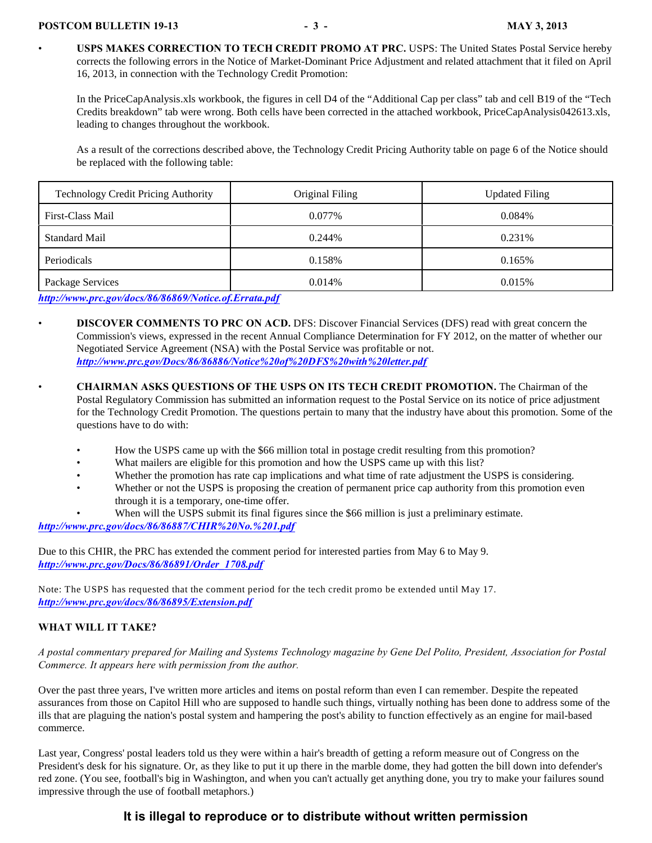• **USPS MAKES CORRECTION TO TECH CREDIT PROMO AT PRC.** USPS: The United States Postal Service hereby corrects the following errors in the Notice of Market-Dominant Price Adjustment and related attachment that it filed on April 16, 2013, in connection with the Technology Credit Promotion:

In the PriceCapAnalysis.xls workbook, the figures in cell D4 of the "Additional Cap per class" tab and cell B19 of the "Tech Credits breakdown" tab were wrong. Both cells have been corrected in the attached workbook, PriceCapAnalysis042613.xls, leading to changes throughout the workbook.

As a result of the corrections described above, the Technology Credit Pricing Authority table on page 6 of the Notice should be replaced with the following table:

| <b>Technology Credit Pricing Authority</b> | Original Filing | <b>Updated Filing</b> |
|--------------------------------------------|-----------------|-----------------------|
| First-Class Mail                           | $0.077\%$       | 0.084%                |
| <b>Standard Mail</b>                       | 0.244\%         | 0.231\%               |
| Periodicals                                | 0.158%          | 0.165%                |
| Package Services                           | 0.014\%         | 0.015%                |

*<http://www.prc.gov/docs/86/86869/Notice.of.Errata.pdf>*

- **DISCOVER COMMENTS TO PRC ON ACD.** DFS: Discover Financial Services (DFS) read with great concern the Commission's views, expressed in the recent Annual Compliance Determination for FY 2012, on the matter of whether our Negotiated Service Agreement (NSA) with the Postal Service was profitable or not. *<http://www.prc.gov/Docs/86/86886/Notice%20of%20DFS%20with%20letter.pdf>*
- **CHAIRMAN ASKS QUESTIONS OF THE USPS ON ITS TECH CREDIT PROMOTION.** The Chairman of the Postal Regulatory Commission has submitted an information request to the Postal Service on its notice of price adjustment for the Technology Credit Promotion. The questions pertain to many that the industry have about this promotion. Some of the questions have to do with:
	- How the USPS came up with the \$66 million total in postage credit resulting from this promotion?
	- What mailers are eligible for this promotion and how the USPS came up with this list?
	- Whether the promotion has rate cap implications and what time of rate adjustment the USPS is considering.
	- Whether or not the USPS is proposing the creation of permanent price cap authority from this promotion even through it is a temporary, one-time offer.
	- When will the USPS submit its final figures since the \$66 million is just a preliminary estimate.

*<http://www.prc.gov/docs/86/86887/CHIR%20No.%201.pdf>*

Due to this CHIR, the PRC has extended the comment period for interested parties from May 6 to May 9. *[http://www.prc.gov/Docs/86/86891/Order\\_1708.pdf](http://www.prc.gov/Docs/86/86891/Order_1708.pdf)*

Note: The USPS has requested that the comment period for the tech credit promo be extended until May 17. *<http://www.prc.gov/docs/86/86895/Extension.pdf>*

#### <span id="page-2-0"></span>**WHAT WILL IT TAKE?**

*A postal commentary prepared for Mailing and Systems Technology magazine by Gene Del Polito, President, Association for Postal Commerce. It appears here with permission from the author.*

Over the past three years, I've written more articles and items on postal reform than even I can remember. Despite the repeated assurances from those on Capitol Hill who are supposed to handle such things, virtually nothing has been done to address some of the ills that are plaguing the nation's postal system and hampering the post's ability to function effectively as an engine for mail-based commerce.

Last year, Congress' postal leaders told us they were within a hair's breadth of getting a reform measure out of Congress on the President's desk for his signature. Or, as they like to put it up there in the marble dome, they had gotten the bill down into defender's red zone. (You see, football's big in Washington, and when you can't actually get anything done, you try to make your failures sound impressive through the use of football metaphors.)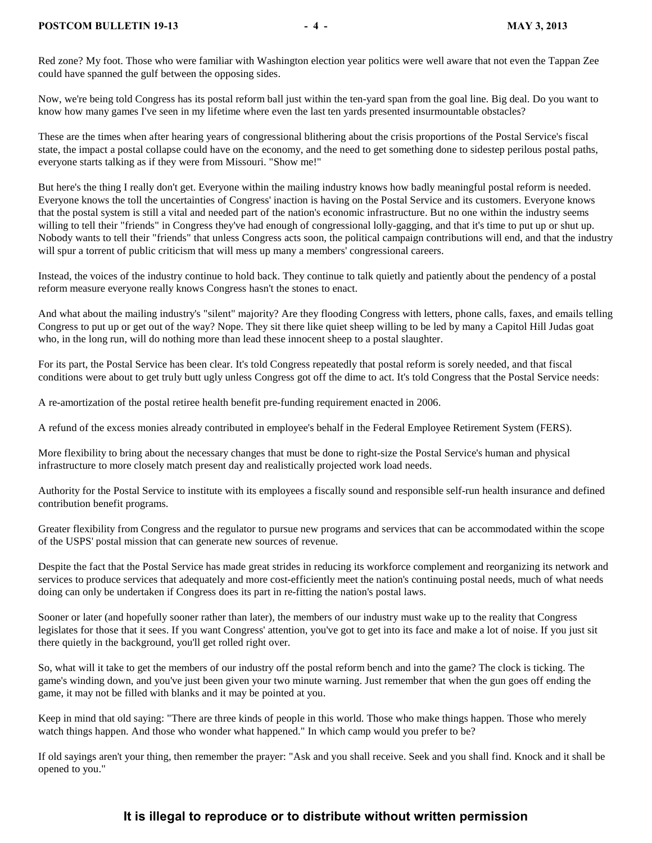Red zone? My foot. Those who were familiar with Washington election year politics were well aware that not even the Tappan Zee could have spanned the gulf between the opposing sides.

Now, we're being told Congress has its postal reform ball just within the ten-yard span from the goal line. Big deal. Do you want to know how many games I've seen in my lifetime where even the last ten yards presented insurmountable obstacles?

These are the times when after hearing years of congressional blithering about the crisis proportions of the Postal Service's fiscal state, the impact a postal collapse could have on the economy, and the need to get something done to sidestep perilous postal paths, everyone starts talking as if they were from Missouri. "Show me!"

But here's the thing I really don't get. Everyone within the mailing industry knows how badly meaningful postal reform is needed. Everyone knows the toll the uncertainties of Congress' inaction is having on the Postal Service and its customers. Everyone knows that the postal system is still a vital and needed part of the nation's economic infrastructure. But no one within the industry seems willing to tell their "friends" in Congress they've had enough of congressional lolly-gagging, and that it's time to put up or shut up. Nobody wants to tell their "friends" that unless Congress acts soon, the political campaign contributions will end, and that the industry will spur a torrent of public criticism that will mess up many a members' congressional careers.

Instead, the voices of the industry continue to hold back. They continue to talk quietly and patiently about the pendency of a postal reform measure everyone really knows Congress hasn't the stones to enact.

And what about the mailing industry's "silent" majority? Are they flooding Congress with letters, phone calls, faxes, and emails telling Congress to put up or get out of the way? Nope. They sit there like quiet sheep willing to be led by many a Capitol Hill Judas goat who, in the long run, will do nothing more than lead these innocent sheep to a postal slaughter.

For its part, the Postal Service has been clear. It's told Congress repeatedly that postal reform is sorely needed, and that fiscal conditions were about to get truly butt ugly unless Congress got off the dime to act. It's told Congress that the Postal Service needs:

A re-amortization of the postal retiree health benefit pre-funding requirement enacted in 2006.

A refund of the excess monies already contributed in employee's behalf in the Federal Employee Retirement System (FERS).

More flexibility to bring about the necessary changes that must be done to right-size the Postal Service's human and physical infrastructure to more closely match present day and realistically projected work load needs.

Authority for the Postal Service to institute with its employees a fiscally sound and responsible self-run health insurance and defined contribution benefit programs.

Greater flexibility from Congress and the regulator to pursue new programs and services that can be accommodated within the scope of the USPS' postal mission that can generate new sources of revenue.

Despite the fact that the Postal Service has made great strides in reducing its workforce complement and reorganizing its network and services to produce services that adequately and more cost-efficiently meet the nation's continuing postal needs, much of what needs doing can only be undertaken if Congress does its part in re-fitting the nation's postal laws.

Sooner or later (and hopefully sooner rather than later), the members of our industry must wake up to the reality that Congress legislates for those that it sees. If you want Congress' attention, you've got to get into its face and make a lot of noise. If you just sit there quietly in the background, you'll get rolled right over.

So, what will it take to get the members of our industry off the postal reform bench and into the game? The clock is ticking. The game's winding down, and you've just been given your two minute warning. Just remember that when the gun goes off ending the game, it may not be filled with blanks and it may be pointed at you.

Keep in mind that old saying: "There are three kinds of people in this world. Those who make things happen. Those who merely watch things happen. And those who wonder what happened." In which camp would you prefer to be?

If old sayings aren't your thing, then remember the prayer: "Ask and you shall receive. Seek and you shall find. Knock and it shall be opened to you."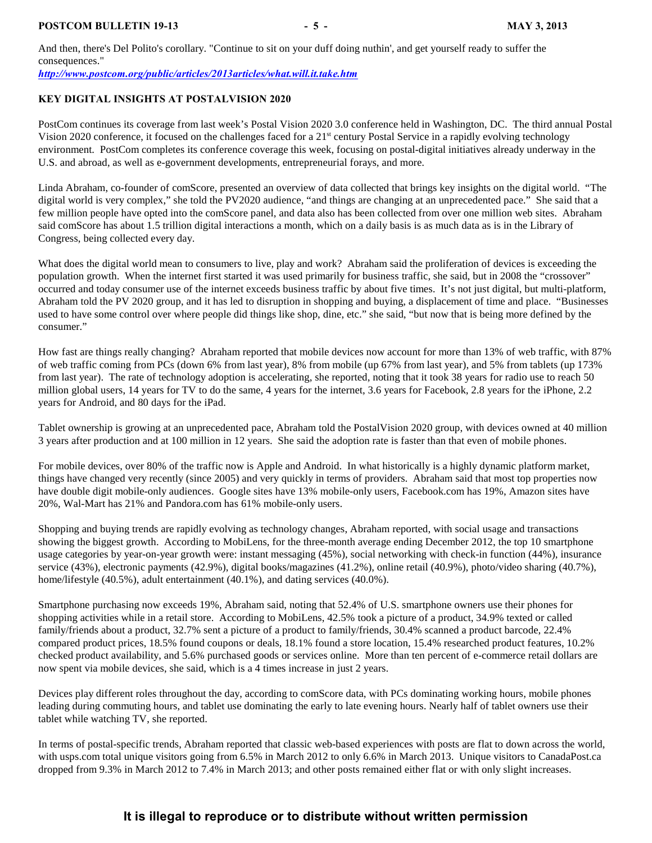#### **POSTCOM BULLETIN 19-13** - 5 - MAY 3, 2013

And then, there's Del Polito's corollary. "Continue to sit on your duff doing nuthin', and get yourself ready to suffer the consequences."

*<http://www.postcom.org/public/articles/2013articles/what.will.it.take.htm>*

#### <span id="page-4-0"></span>**KEY DIGITAL INSIGHTS AT POSTALVISION 2020**

PostCom continues its coverage from last week's Postal Vision 2020 3.0 conference held in Washington, DC. The third annual Postal Vision 2020 conference, it focused on the challenges faced for a  $21<sup>st</sup>$  century Postal Service in a rapidly evolving technology environment.PostCom completes its conference coverage this week, focusing on postal-digital initiatives already underway in the U.S. and abroad, as well as e-government developments, entrepreneurial forays, and more.

Linda Abraham, co-founder of comScore, presented an overview of data collected that brings key insights on the digital world. "The digital world is very complex," she told the PV2020 audience, "and things are changing at an unprecedented pace." She said that a few million people have opted into the comScore panel, and data also has been collected from over one million web sites. Abraham said comScore has about 1.5 trillion digital interactions a month, which on a daily basis is as much data as is in the Library of Congress, being collected every day.

What does the digital world mean to consumers to live, play and work? Abraham said the proliferation of devices is exceeding the population growth. When the internet first started it was used primarily for business traffic, she said, but in 2008 the "crossover" occurred and today consumer use of the internet exceeds business traffic by about five times. It's not just digital, but multi-platform, Abraham told the PV 2020 group, and it has led to disruption in shopping and buying, a displacement of time and place. "Businesses used to have some control over where people did things like shop, dine, etc." she said, "but now that is being more defined by the consumer."

How fast are things really changing? Abraham reported that mobile devices now account for more than 13% of web traffic, with 87% of web traffic coming from PCs (down 6% from last year), 8% from mobile (up 67% from last year), and 5% from tablets (up 173% from last year). The rate of technology adoption is accelerating, she reported, noting that it took 38 years for radio use to reach 50 million global users, 14 years for TV to do the same, 4 years for the internet, 3.6 years for Facebook, 2.8 years for the iPhone, 2.2 years for Android, and 80 days for the iPad.

Tablet ownership is growing at an unprecedented pace, Abraham told the PostalVision 2020 group, with devices owned at 40 million 3 years after production and at 100 million in 12 years. She said the adoption rate is faster than that even of mobile phones.

For mobile devices, over 80% of the traffic now is Apple and Android. In what historically is a highly dynamic platform market, things have changed very recently (since 2005) and very quickly in terms of providers. Abraham said that most top properties now have double digit mobile-only audiences. Google sites have 13% mobile-only users, Facebook.com has 19%, Amazon sites have 20%, Wal-Mart has 21% and Pandora.com has 61% mobile-only users.

Shopping and buying trends are rapidly evolving as technology changes, Abraham reported, with social usage and transactions showing the biggest growth. According to MobiLens, for the three-month average ending December 2012, the top 10 smartphone usage categories by year-on-year growth were: instant messaging (45%), social networking with check-in function (44%), insurance service (43%), electronic payments (42.9%), digital books/magazines (41.2%), online retail (40.9%), photo/video sharing (40.7%), home/lifestyle (40.5%), adult entertainment (40.1%), and dating services (40.0%).

Smartphone purchasing now exceeds 19%, Abraham said, noting that 52.4% of U.S. smartphone owners use their phones for shopping activities while in a retail store. According to MobiLens, 42.5% took a picture of a product, 34.9% texted or called family/friends about a product, 32.7% sent a picture of a product to family/friends, 30.4% scanned a product barcode, 22.4% compared product prices, 18.5% found coupons or deals, 18.1% found a store location, 15.4% researched product features, 10.2% checked product availability, and 5.6% purchased goods or services online. More than ten percent of e-commerce retail dollars are now spent via mobile devices, she said, which is a 4 times increase in just 2 years.

Devices play different roles throughout the day, according to comScore data, with PCs dominating working hours, mobile phones leading during commuting hours, and tablet use dominating the early to late evening hours. Nearly half of tablet owners use their tablet while watching TV, she reported.

In terms of postal-specific trends, Abraham reported that classic web-based experiences with posts are flat to down across the world, with usps.com total unique visitors going from 6.5% in March 2012 to only 6.6% in March 2013. Unique visitors to CanadaPost.ca dropped from 9.3% in March 2012 to 7.4% in March 2013; and other posts remained either flat or with only slight increases.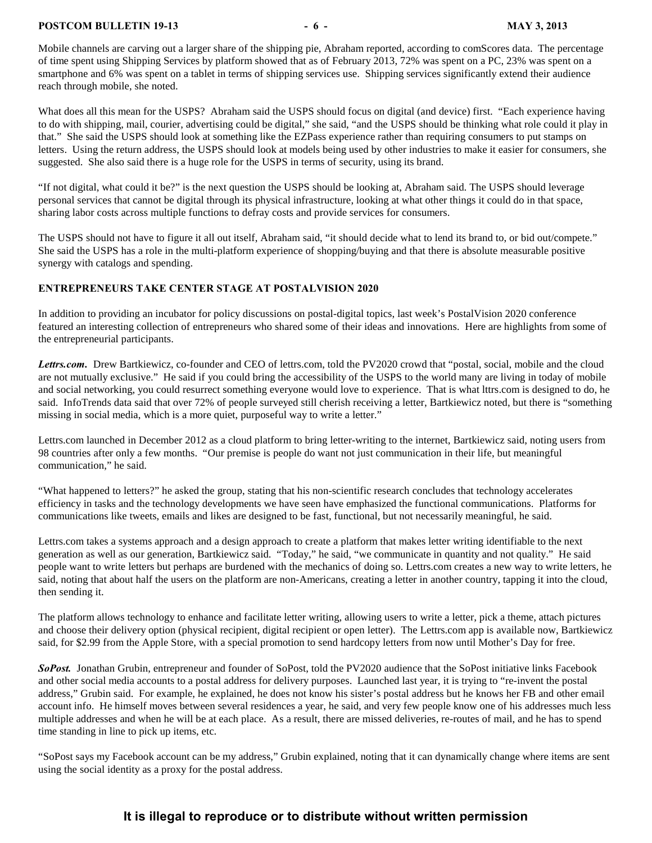#### **POSTCOM BULLETIN 19-13** - 6 - **MAY 3, 2013**

Mobile channels are carving out a larger share of the shipping pie, Abraham reported, according to comScores data. The percentage of time spent using Shipping Services by platform showed that as of February 2013, 72% was spent on a PC, 23% was spent on a smartphone and 6% was spent on a tablet in terms of shipping services use. Shipping services significantly extend their audience reach through mobile, she noted.

What does all this mean for the USPS? Abraham said the USPS should focus on digital (and device) first. "Each experience having to do with shipping, mail, courier, advertising could be digital," she said, "and the USPS should be thinking what role could it play in that." She said the USPS should look at something like the EZPass experience rather than requiring consumers to put stamps on letters. Using the return address, the USPS should look at models being used by other industries to make it easier for consumers, she suggested. She also said there is a huge role for the USPS in terms of security, using its brand.

"If not digital, what could it be?" is the next question the USPS should be looking at, Abraham said. The USPS should leverage personal services that cannot be digital through its physical infrastructure, looking at what other things it could do in that space, sharing labor costs across multiple functions to defray costs and provide services for consumers.

The USPS should not have to figure it all out itself, Abraham said, "it should decide what to lend its brand to, or bid out/compete." She said the USPS has a role in the multi-platform experience of shopping/buying and that there is absolute measurable positive synergy with catalogs and spending.

#### <span id="page-5-0"></span>**ENTREPRENEURS TAKE CENTER STAGE AT POSTALVISION 2020**

In addition to providing an incubator for policy discussions on postal-digital topics, last week's PostalVision 2020 conference featured an interesting collection of entrepreneurs who shared some of their ideas and innovations. Here are highlights from some of the entrepreneurial participants.

Lettrs.com. Drew Bartkiewicz, co-founder and CEO of lettrs.com, told the PV2020 crowd that "postal, social, mobile and the cloud are not mutually exclusive." He said if you could bring the accessibility of the USPS to the world many are living in today of mobile and social networking, you could resurrect something everyone would love to experience. That is what lttrs.com is designed to do, he said. InfoTrends data said that over 72% of people surveyed still cherish receiving a letter, Bartkiewicz noted, but there is "something missing in social media, which is a more quiet, purposeful way to write a letter."

Lettrs.com launched in December 2012 as a cloud platform to bring letter-writing to the internet, Bartkiewicz said, noting users from 98 countries after only a few months. "Our premise is people do want not just communication in their life, but meaningful communication," he said.

"What happened to letters?" he asked the group, stating that his non-scientific research concludes that technology accelerates efficiency in tasks and the technology developments we have seen have emphasized the functional communications. Platforms for communications like tweets, emails and likes are designed to be fast, functional, but not necessarily meaningful, he said.

Lettrs.com takes a systems approach and a design approach to create a platform that makes letter writing identifiable to the next generation as well as our generation, Bartkiewicz said. "Today," he said, "we communicate in quantity and not quality." He said people want to write letters but perhaps are burdened with the mechanics of doing so. Lettrs.com creates a new way to write letters, he said, noting that about half the users on the platform are non-Americans, creating a letter in another country, tapping it into the cloud, then sending it.

The platform allows technology to enhance and facilitate letter writing, allowing users to write a letter, pick a theme, attach pictures and choose their delivery option (physical recipient, digital recipient or open letter). The Lettrs.com app is available now, Bartkiewicz said, for \$2.99 from the Apple Store, with a special promotion to send hardcopy letters from now until Mother's Day for free.

*SoPost.* Jonathan Grubin, entrepreneur and founder of SoPost, told the PV2020 audience that the SoPost initiative links Facebook and other social media accounts to a postal address for delivery purposes. Launched last year, it is trying to "re-invent the postal address," Grubin said. For example, he explained, he does not know his sister's postal address but he knows her FB and other email account info. He himself moves between several residences a year, he said, and very few people know one of his addresses much less multiple addresses and when he will be at each place. As a result, there are missed deliveries, re-routes of mail, and he has to spend time standing in line to pick up items, etc.

"SoPost says my Facebook account can be my address," Grubin explained, noting that it can dynamically change where items are sent using the social identity as a proxy for the postal address.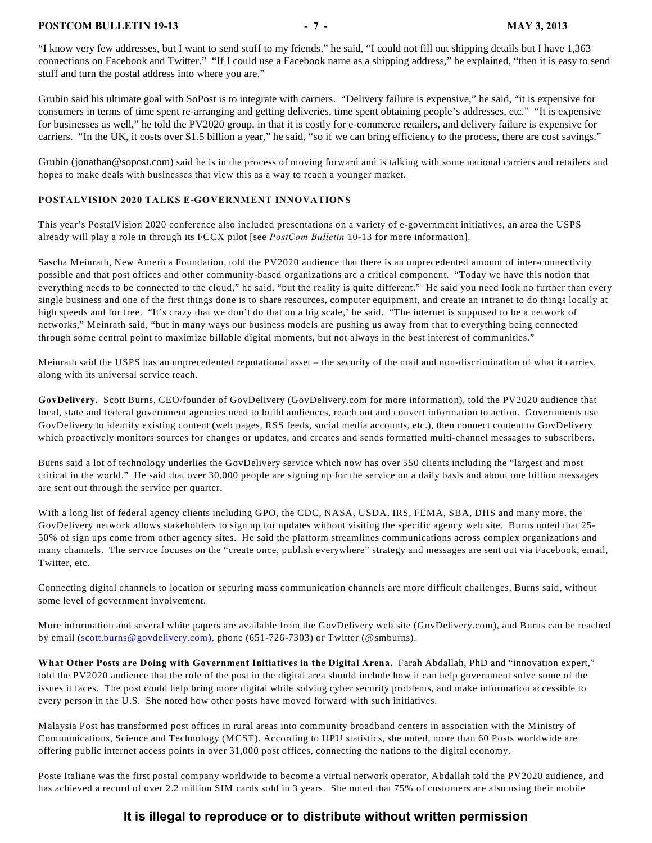#### **POSTCOM BULLETIN 19-13** - 7 - MAY 3, 2013

"I know very few addresses, but I want to send stuff to my friends," he said, "I could not fill out shipping details but I have 1,363 connections on Facebook and Twitter." "If I could use a Facebook name as a shipping address," he explained, "then it is easy to send stuff and turn the postal address into where you are."

Grubin said his ultimate goal with SoPost is to integrate with carriers. "Delivery failure is expensive," he said, "it is expensive for consumers in terms of time spent re-arranging and getting deliveries, time spent obtaining people's addresses, etc." "It is expensive for businesses as well," he told the PV2020 group, in that it is costly for e-commerce retailers, and delivery failure is expensive for carriers. "In the UK, it costs over \$1.5 billion a year," he said, "so if we can bring efficiency to the process, there are cost savings."

Grubin (jonathan@sopost.com) said he is in the process of moving forward and is talking with some national carriers and retailers and hopes to make deals with businesses that view this as a way to reach a younger market.

#### <span id="page-6-0"></span>**POSTALVISION 2020 TALKS E-GOVERNMENT INNOVATIONS**

This year's PostalVision 2020 conference also included presentations on a variety of e-government initiatives, an area the USPS already will play a role in through its FCCX pilot [see *PostCom Bulletin* 10-13 for more information].

Sascha Meinrath, New America Foundation, told the PV2020 audience that there is an unprecedented amount of inter-connectivity possible and that post offices and other community-based organizations are a critical component. "Today we have this notion that everything needs to be connected to the cloud," he said, "but the reality is quite different." He said you need look no further than every single business and one of the first things done is to share resources, computer equipment, and create an intranet to do things locally at high speeds and for free. "It's crazy that we don't do that on a big scale,' he said. "The internet is supposed to be a network of networks," Meinrath said, "but in many ways our business models are pushing us away from that to everything being connected through some central point to maximize billable digital moments, but not always in the best interest of communities."

Meinrath said the USPS has an unprecedented reputational asset – the security of the mail and non-discrimination of what it carries, along with its universal service reach.

**GovDelivery.** Scott Burns, CEO/founder of GovDelivery (GovDelivery.com for more information), told the PV2020 audience that local, state and federal government agencies need to build audiences, reach out and convert information to action. Governments use GovDelivery to identify existing content (web pages, RSS feeds, social media accounts, etc.), then connect content to GovDelivery which proactively monitors sources for changes or updates, and creates and sends formatted multi-channel messages to subscribers.

Burns said a lot of technology underlies the GovDelivery service which now has over 550 clients including the "largest and most critical in the world." He said that over 30,000 people are signing up for the service on a daily basis and about one billion messages are sent out through the service per quarter.

With a long list of federal agency clients including GPO, the CDC, NASA, USDA, IRS, FEMA, SBA, DHS and many more, the GovDelivery network allows stakeholders to sign up for updates without visiting the specific agency web site. Burns noted that 25- 50% of sign ups come from other agency sites. He said the platform streamlines communications across complex organizations and many channels. The service focuses on the "create once, publish everywhere" strategy and messages are sent out via Facebook, email, Twitter, etc.

Connecting digital channels to location or securing mass communication channels are more difficult challenges, Burns said, without some level of government involvement.

More information and several white papers are available from the GovDelivery web site (GovDelivery.com), and Burns can be reached by email ([scott.burns@govdelivery.com\),](mailto:scott.burns@govdelivery.com),) phone (651-726-7303) or Twitter (@smburns).

**What Other Posts are Doing with Government Initiatives in the Digital Arena.** Farah Abdallah, PhD and "innovation expert," told the PV2020 audience that the role of the post in the digital area should include how it can help government solve some of the issues it faces. The post could help bring more digital while solving cyber security problems, and make information accessible to every person in the U.S. She noted how other posts have moved forward with such initiatives.

Malaysia Post has transformed post offices in rural areas into community broadband centers in association with the Ministry of Communications, Science and Technology (MCST). According to UPU statistics, she noted, more than 60 Posts worldwide are offering public internet access points in over 31,000 post offices, connecting the nations to the digital economy.

Poste Italiane was the first postal company worldwide to become a virtual network operator, Abdallah told the PV2020 audience, and has achieved a record of over 2.2 million SIM cards sold in 3 years. She noted that 75% of customers are also using their mobile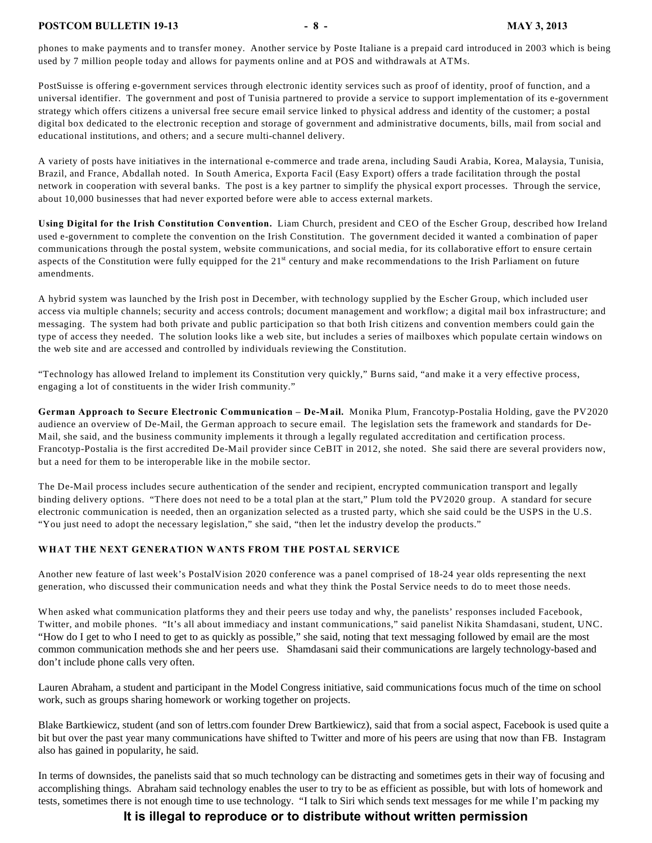phones to make payments and to transfer money. Another service by Poste Italiane is a prepaid card introduced in 2003 which is being used by 7 million people today and allows for payments online and at POS and withdrawals at ATMs.

PostSuisse is offering e-government services through electronic identity services such as proof of identity, proof of function, and a universal identifier. The government and post of Tunisia partnered to provide a service to support implementation of its e-government strategy which offers citizens a universal free secure email service linked to physical address and identity of the customer; a postal digital box dedicated to the electronic reception and storage of government and administrative documents, bills, mail from social and educational institutions, and others; and a secure multi-channel delivery.

A variety of posts have initiatives in the international e-commerce and trade arena, including Saudi Arabia, Korea, Malaysia, Tunisia, Brazil, and France, Abdallah noted. In South America, Exporta Facil (Easy Export) offers a trade facilitation through the postal network in cooperation with several banks. The post is a key partner to simplify the physical export processes. Through the service, about 10,000 businesses that had never exported before were able to access external markets.

**Using Digital for the Irish Constitution Convention.** Liam Church, president and CEO of the Escher Group, described how Ireland used e-government to complete the convention on the Irish Constitution. The government decided it wanted a combination of paper communications through the postal system, website communications, and social media, for its collaborative effort to ensure certain aspects of the Constitution were fully equipped for the  $21<sup>st</sup>$  century and make recommendations to the Irish Parliament on future amendments.

A hybrid system was launched by the Irish post in December, with technology supplied by the Escher Group, which included user access via multiple channels; security and access controls; document management and workflow; a digital mail box infrastructure; and messaging. The system had both private and public participation so that both Irish citizens and convention members could gain the type of access they needed. The solution looks like a web site, but includes a series of mailboxes which populate certain windows on the web site and are accessed and controlled by individuals reviewing the Constitution.

"Technology has allowed Ireland to implement its Constitution very quickly," Burns said, "and make it a very effective process, engaging a lot of constituents in the wider Irish community."

**German Approach to Secure Electronic Communication – De-Mail.** Monika Plum, Francotyp-Postalia Holding, gave the PV2020 audience an overview of De-Mail, the German approach to secure email. The legislation sets the framework and standards for De-Mail, she said, and the business community implements it through a legally regulated accreditation and certification process. Francotyp-Postalia is the first accredited De-Mail provider since CeBIT in 2012, she noted. She said there are several providers now, but a need for them to be interoperable like in the mobile sector.

The De-Mail process includes secure authentication of the sender and recipient, encrypted communication transport and legally binding delivery options. "There does not need to be a total plan at the start," Plum told the PV2020 group. A standard for secure electronic communication is needed, then an organization selected as a trusted party, which she said could be the USPS in the U.S. "You just need to adopt the necessary legislation," she said, "then let the industry develop the products."

#### <span id="page-7-0"></span>**WHAT THE NEXT GENERATION WANTS FROM THE POSTAL SERVICE**

Another new feature of last week's PostalVision 2020 conference was a panel comprised of 18-24 year olds representing the next generation, who discussed their communication needs and what they think the Postal Service needs to do to meet those needs.

When asked what communication platforms they and their peers use today and why, the panelists' responses included Facebook, Twitter, and mobile phones. "It's all about immediacy and instant communications," said panelist Nikita Shamdasani, student, UNC. "How do I get to who I need to get to as quickly as possible," she said, noting that text messaging followed by email are the most common communication methods she and her peers use. Shamdasani said their communications are largely technology-based and don't include phone calls very often.

Lauren Abraham, a student and participant in the Model Congress initiative, said communications focus much of the time on school work, such as groups sharing homework or working together on projects.

Blake Bartkiewicz, student (and son of lettrs.com founder Drew Bartkiewicz), said that from a social aspect, Facebook is used quite a bit but over the past year many communications have shifted to Twitter and more of his peers are using that now than FB. Instagram also has gained in popularity, he said.

In terms of downsides, the panelists said that so much technology can be distracting and sometimes gets in their way of focusing and accomplishing things. Abraham said technology enables the user to try to be as efficient as possible, but with lots of homework and tests, sometimes there is not enough time to use technology. "I talk to Siri which sends text messages for me while I'm packing my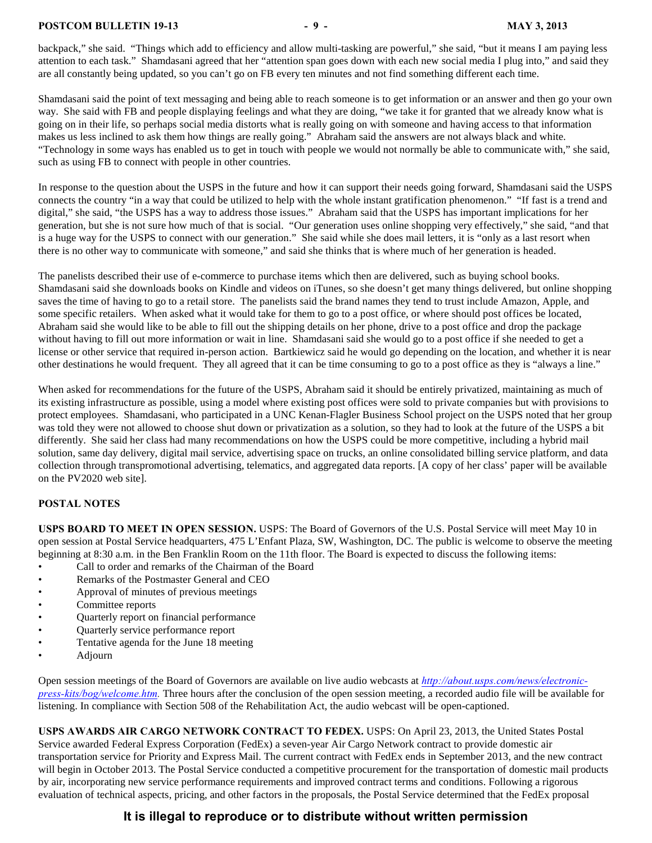#### **POSTCOM BULLETIN 19-13** - 9 - MAY 3, 2013

backpack," she said. "Things which add to efficiency and allow multi-tasking are powerful," she said, "but it means I am paying less attention to each task." Shamdasani agreed that her "attention span goes down with each new social media I plug into," and said they are all constantly being updated, so you can't go on FB every ten minutes and not find something different each time.

Shamdasani said the point of text messaging and being able to reach someone is to get information or an answer and then go your own way. She said with FB and people displaying feelings and what they are doing, "we take it for granted that we already know what is going on in their life, so perhaps social media distorts what is really going on with someone and having access to that information makes us less inclined to ask them how things are really going." Abraham said the answers are not always black and white. "Technology in some ways has enabled us to get in touch with people we would not normally be able to communicate with," she said, such as using FB to connect with people in other countries.

In response to the question about the USPS in the future and how it can support their needs going forward, Shamdasani said the USPS connects the country "in a way that could be utilized to help with the whole instant gratification phenomenon." "If fast is a trend and digital," she said, "the USPS has a way to address those issues." Abraham said that the USPS has important implications for her generation, but she is not sure how much of that is social. "Our generation uses online shopping very effectively," she said, "and that is a huge way for the USPS to connect with our generation." She said while she does mail letters, it is "only as a last resort when there is no other way to communicate with someone," and said she thinks that is where much of her generation is headed.

The panelists described their use of e-commerce to purchase items which then are delivered, such as buying school books. Shamdasani said she downloads books on Kindle and videos on iTunes, so she doesn't get many things delivered, but online shopping saves the time of having to go to a retail store. The panelists said the brand names they tend to trust include Amazon, Apple, and some specific retailers. When asked what it would take for them to go to a post office, or where should post offices be located, Abraham said she would like to be able to fill out the shipping details on her phone, drive to a post office and drop the package without having to fill out more information or wait in line. Shamdasani said she would go to a post office if she needed to get a license or other service that required in-person action. Bartkiewicz said he would go depending on the location, and whether it is near other destinations he would frequent. They all agreed that it can be time consuming to go to a post office as they is "always a line."

When asked for recommendations for the future of the USPS, Abraham said it should be entirely privatized, maintaining as much of its existing infrastructure as possible, using a model where existing post offices were sold to private companies but with provisions to protect employees. Shamdasani, who participated in a UNC Kenan-Flagler Business School project on the USPS noted that her group was told they were not allowed to choose shut down or privatization as a solution, so they had to look at the future of the USPS a bit differently. She said her class had many recommendations on how the USPS could be more competitive, including a hybrid mail solution, same day delivery, digital mail service, advertising space on trucks, an online consolidated billing service platform, and data collection through transpromotional advertising, telematics, and aggregated data reports. [A copy of her class' paper will be available on the PV2020 web site].

#### <span id="page-8-0"></span>**POSTAL NOTES**

**USPS BOARD TO MEET IN OPEN SESSION.** USPS: The Board of Governors of the U.S. Postal Service will meet May 10 in open session at Postal Service headquarters, 475 L'Enfant Plaza, SW, Washington, DC. The public is welcome to observe the meeting beginning at 8:30 a.m. in the Ben Franklin Room on the 11th floor. The Board is expected to discuss the following items:

- Call to order and remarks of the Chairman of the Board
- Remarks of the Postmaster General and CEO
- Approval of minutes of previous meetings
- Committee reports
- Quarterly report on financial performance
- Quarterly service performance report
- Tentative agenda for the June 18 meeting
- Adjourn

Open session meetings of the Board of Governors are available on live audio webcasts at *[http://about.usps.com/news/electronic](http://about.usps.com/news/electronic-press-kits/bog/welcome.htm)[press-kits/bog/welcome.htm](http://about.usps.com/news/electronic-press-kits/bog/welcome.htm).* Three hours after the conclusion of the open session meeting, a recorded audio file will be available for listening. In compliance with Section 508 of the Rehabilitation Act, the audio webcast will be open-captioned.

**USPS AWARDS AIR CARGO NETWORK CONTRACT TO FEDEX.** USPS: On April 23, 2013, the United States Postal Service awarded Federal Express Corporation (FedEx) a seven-year Air Cargo Network contract to provide domestic air transportation service for Priority and Express Mail. The current contract with FedEx ends in September 2013, and the new contract will begin in October 2013. The Postal Service conducted a competitive procurement for the transportation of domestic mail products by air, incorporating new service performance requirements and improved contract terms and conditions. Following a rigorous evaluation of technical aspects, pricing, and other factors in the proposals, the Postal Service determined that the FedEx proposal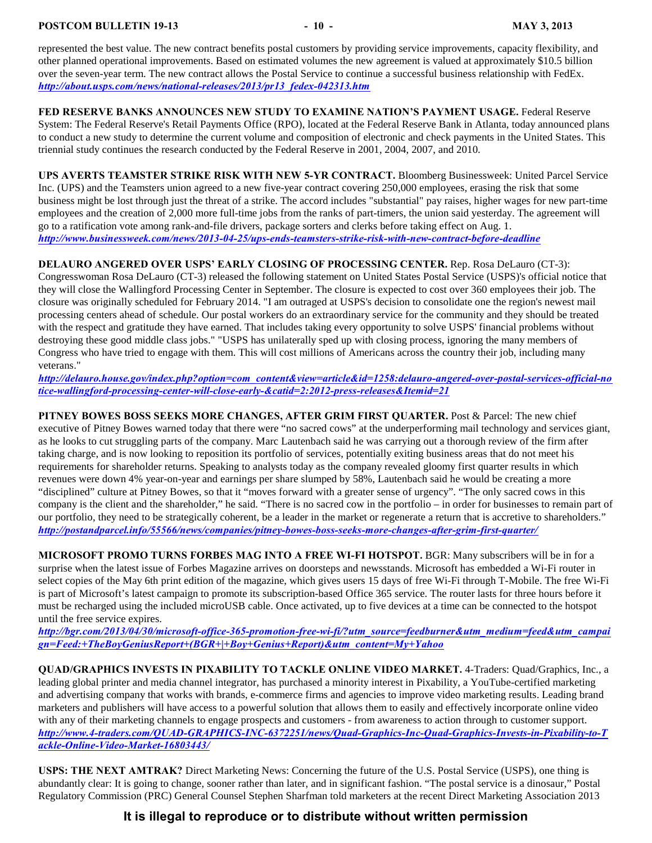**POSTCOM BULLETIN 19-13** - 10 - 10 - 10 - MAY 3, 2013

represented the best value. The new contract benefits postal customers by providing service improvements, capacity flexibility, and other planned operational improvements. Based on estimated volumes the new agreement is valued at approximately \$10.5 billion over the seven-year term. The new contract allows the Postal Service to continue a successful business relationship with FedEx. *[http://about.usps.com/news/national-releases/2013/pr13\\_fedex-042313.htm](http://about.usps.com/news/national-releases/2013/pr13_fedex-042313.htm)*

**FED RESERVE BANKS ANNOUNCES NEW STUDY TO EXAMINE NATION'S PAYMENT USAGE.** Federal Reserve System: The Federal Reserve's Retail Payments Office (RPO), located at the Federal Reserve Bank in Atlanta, today announced plans to conduct a new study to determine the current volume and composition of electronic and check payments in the United States. This triennial study continues the research conducted by the Federal Reserve in 2001, 2004, 2007, and 2010.

**UPS AVERTS TEAMSTER STRIKE RISK WITH NEW 5-YR CONTRACT.** Bloomberg Businessweek: United Parcel Service Inc. (UPS) and the Teamsters union agreed to a new five-year contract covering 250,000 employees, erasing the risk that some business might be lost through just the threat of a strike. The accord includes "substantial" pay raises, higher wages for new part-time employees and the creation of 2,000 more full-time jobs from the ranks of part-timers, the union said yesterday. The agreement will go to a ratification vote among rank-and-file drivers, package sorters and clerks before taking effect on Aug. 1. *<http://www.businessweek.com/news/2013-04-25/ups-ends-teamsters-strike-risk-with-new-contract-before-deadline>*

**DELAURO ANGERED OVER USPS' EARLY CLOSING OF PROCESSING CENTER.** Rep. Rosa DeLauro (CT-3): Congresswoman Rosa DeLauro (CT-3) released the following statement on United States Postal Service (USPS)'s official notice that they will close the Wallingford Processing Center in September. The closure is expected to cost over 360 employees their job. The closure was originally scheduled for February 2014. "I am outraged at USPS's decision to consolidate one the region's newest mail processing centers ahead of schedule. Our postal workers do an extraordinary service for the community and they should be treated with the respect and gratitude they have earned. That includes taking every opportunity to solve USPS' financial problems without destroying these good middle class jobs." "USPS has unilaterally sped up with closing process, ignoring the many members of Congress who have tried to engage with them. This will cost millions of Americans across the country their job, including many veterans."

*[http://delauro.house.gov/index.php?option=com\\_content&view=article&id=1258:delauro-angered-over-postal-services-official-no](http://delauro.house.gov/index.php?option=com_content&view=article&id=1258:delauro-angered-over-postal-services-official-notice-wallingford-processing-center-will-close-early-&catid=2:2012-press-releases&Itemid=21) [tice-wallingford-processing-center-will-close-early-&catid=2:2012-press-releases&Itemid=21](http://delauro.house.gov/index.php?option=com_content&view=article&id=1258:delauro-angered-over-postal-services-official-notice-wallingford-processing-center-will-close-early-&catid=2:2012-press-releases&Itemid=21)*

**PITNEY BOWES BOSS SEEKS MORE CHANGES, AFTER GRIM FIRST QUARTER.** Post & Parcel: The new chief executive of Pitney Bowes warned today that there were "no sacred cows" at the underperforming mail technology and services giant, as he looks to cut struggling parts of the company. Marc Lautenbach said he was carrying out a thorough review of the firm after taking charge, and is now looking to reposition its portfolio of services, potentially exiting business areas that do not meet his requirements for shareholder returns. Speaking to analysts today as the company revealed gloomy first quarter results in which revenues were down 4% year-on-year and earnings per share slumped by 58%, Lautenbach said he would be creating a more "disciplined" culture at Pitney Bowes, so that it "moves forward with a greater sense of urgency". "The only sacred cows in this company is the client and the shareholder," he said. "There is no sacred cow in the portfolio – in order for businesses to remain part of our portfolio, they need to be strategically coherent, be a leader in the market or regenerate a return that is accretive to shareholders." *<http://postandparcel.info/55566/news/companies/pitney-bowes-boss-seeks-more-changes-after-grim-first-quarter/>*

**MICROSOFT PROMO TURNS FORBES MAG INTO A FREE WI-FI HOTSPOT.** BGR: Many subscribers will be in for a surprise when the latest issue of Forbes Magazine arrives on doorsteps and newsstands. Microsoft has embedded a Wi-Fi router in select copies of the May 6th print edition of the magazine, which gives users 15 days of free Wi-Fi through T-Mobile. The free Wi-Fi is part of Microsoft's latest campaign to promote its subscription-based Office 365 service. The router lasts for three hours before it must be recharged using the included microUSB cable. Once activated, up to five devices at a time can be connected to the hotspot until the free service expires.

*[http://bgr.com/2013/04/30/microsoft-office-365-promotion-free-wi-fi/?utm\\_source=feedburner&utm\\_medium=feed&utm\\_campai](http://bgr.com/2013/04/30/microsoft-office-365-promotion-free-wi-fi/?utm_source=feedburner&utm_medium=feed&utm_campaign=Feed:+TheBoyGeniusReport+(BGR+|+Boy+Genius+Report)&utm_content=My+Yahoo) [gn=Feed:+TheBoyGeniusReport+\(BGR+|+Boy+Genius+Report\)&utm\\_content=My+Yahoo](http://bgr.com/2013/04/30/microsoft-office-365-promotion-free-wi-fi/?utm_source=feedburner&utm_medium=feed&utm_campaign=Feed:+TheBoyGeniusReport+(BGR+|+Boy+Genius+Report)&utm_content=My+Yahoo)*

**QUAD/GRAPHICS INVESTS IN PIXABILITY TO TACKLE ONLINE VIDEO MARKET.** 4-Traders: Quad/Graphics, Inc., a leading global printer and media channel integrator, has purchased a minority interest in Pixability, a YouTube-certified marketing and advertising company that works with brands, e-commerce firms and agencies to improve video marketing results. Leading brand marketers and publishers will have access to a powerful solution that allows them to easily and effectively incorporate online video with any of their marketing channels to engage prospects and customers - from awareness to action through to customer support. *[http://www.4-traders.com/QUAD-GRAPHICS-INC-6372251/news/Quad-Graphics-Inc-Quad-Graphics-Invests-in-Pixability-to-T](http://www.4-traders.com/QUAD-GRAPHICS-INC-6372251/news/Quad-Graphics-Inc-Quad-Graphics-Invests-in-Pixability-to-Tackle-Online-Video-Market-16803443/) [ackle-Online-Video-Market-16803443/](http://www.4-traders.com/QUAD-GRAPHICS-INC-6372251/news/Quad-Graphics-Inc-Quad-Graphics-Invests-in-Pixability-to-Tackle-Online-Video-Market-16803443/)*

**USPS: THE NEXT AMTRAK?** Direct Marketing News: Concerning the future of the U.S. Postal Service (USPS), one thing is abundantly clear: It is going to change, sooner rather than later, and in significant fashion. "The postal service is a dinosaur," Postal Regulatory Commission (PRC) General Counsel Stephen Sharfman told marketers at the recent Direct Marketing Association 2013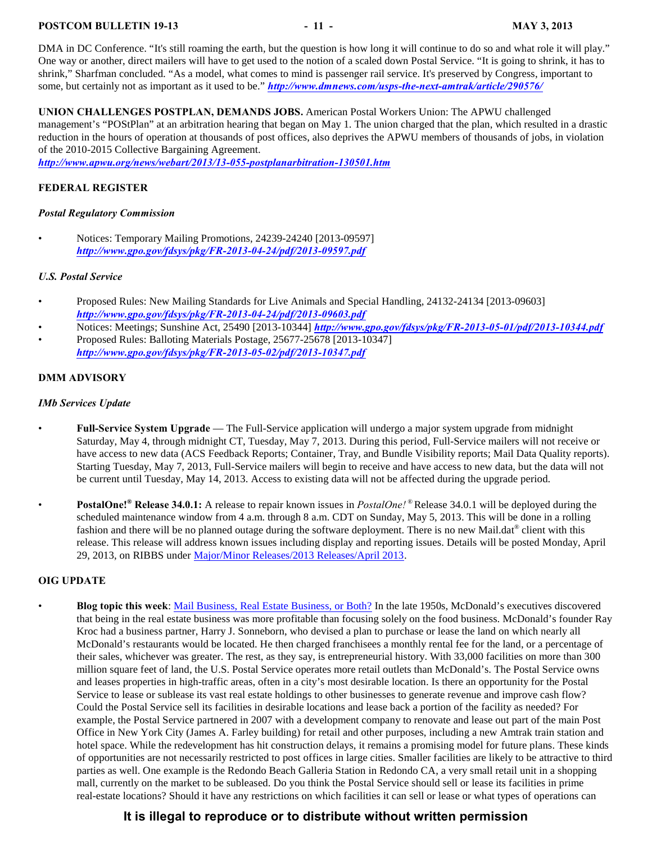#### **POSTCOM BULLETIN 19-13** - 11 - **MAY 3, 2013**

DMA in DC Conference. "It's still roaming the earth, but the question is how long it will continue to do so and what role it will play." One way or another, direct mailers will have to get used to the notion of a scaled down Postal Service. "It is going to shrink, it has to shrink," Sharfman concluded. "As a model, what comes to mind is passenger rail service. It's preserved by Congress, important to some, but certainly not as important as it used to be." *<http://www.dmnews.com/usps-the-next-amtrak/article/290576/>*

**UNION CHALLENGES POSTPLAN, DEMANDS JOBS.** American Postal Workers Union: The APWU challenged management's "POStPlan" at an arbitration hearing that began on May 1. The union charged that the plan, which resulted in a drastic reduction in the hours of operation at thousands of post offices, also deprives the APWU members of thousands of jobs, in violation of the 2010-2015 Collective Bargaining Agreement.

*<http://www.apwu.org/news/webart/2013/13-055-postplanarbitration-130501.htm>*

#### <span id="page-10-0"></span>**FEDERAL REGISTER**

#### *Postal Regulatory Commission*

• Notices: Temporary Mailing Promotions, 24239-24240 [2013-09597] *<http://www.gpo.gov/fdsys/pkg/FR-2013-04-24/pdf/2013-09597.pdf>*

#### *U.S. Postal Service*

- Proposed Rules: New Mailing Standards for Live Animals and Special Handling, 24132-24134 [2013-09603] *<http://www.gpo.gov/fdsys/pkg/FR-2013-04-24/pdf/2013-09603.pdf>*
- Notices: Meetings; Sunshine Act, 25490 [2013-10344] *<http://www.gpo.gov/fdsys/pkg/FR-2013-05-01/pdf/2013-10344.pdf>*
- Proposed Rules: Balloting Materials Postage, 25677-25678 [2013-10347] *<http://www.gpo.gov/fdsys/pkg/FR-2013-05-02/pdf/2013-10347.pdf>*

#### <span id="page-10-1"></span>**DMM ADVISORY**

#### *IMb Services Update*

- **Full-Service System Upgrade**  The Full-Service application will undergo a major system upgrade from midnight Saturday, May 4, through midnight CT, Tuesday, May 7, 2013. During this period, Full-Service mailers will not receive or have access to new data (ACS Feedback Reports; Container, Tray, and Bundle Visibility reports; Mail Data Quality reports). Starting Tuesday, May 7, 2013, Full-Service mailers will begin to receive and have access to new data, but the data will not be current until Tuesday, May 14, 2013. Access to existing data will not be affected during the upgrade period.
- **PostalOne!**<sup>®</sup> Release 34.0.1: A release to repair known issues in *PostalOne!* ® Release 34.0.1 will be deployed during the scheduled maintenance window from 4 a.m. through 8 a.m. CDT on Sunday, May 5, 2013. This will be done in a rolling fashion and there will be no planned outage during the software deployment. There is no new Mail.dat<sup>®</sup> client with this release. This release will address known issues including display and reporting issues. Details will be posted Monday, April 29, 2013, on RIBBS under [Major/Minor Releases/2013 Releases/April 2013](https://ribbs.usps.gov/intelligentmail_schedule2013/releaseoverview2013.cfm).

#### **OIG UPDATE**

• **Blog topic this week**: [Mail Business, Real Estate Business, or Both?](http://blog.uspsoig.gov/index.php/2013/mail-business-real-estate-business-or-both/) In the late 1950s, McDonald's executives discovered that being in the real estate business was more profitable than focusing solely on the food business. McDonald's founder Ray Kroc had a business partner, Harry J. Sonneborn, who devised a plan to purchase or lease the land on which nearly all McDonald's restaurants would be located. He then charged franchisees a monthly rental fee for the land, or a percentage of their sales, whichever was greater. The rest, as they say, is entrepreneurial history. With 33,000 facilities on more than 300 million square feet of land, the U.S. Postal Service operates more retail outlets than McDonald's. The Postal Service owns and leases properties in high-traffic areas, often in a city's most desirable location. Is there an opportunity for the Postal Service to lease or sublease its vast real estate holdings to other businesses to generate revenue and improve cash flow? Could the Postal Service sell its facilities in desirable locations and lease back a portion of the facility as needed? For example, the Postal Service partnered in 2007 with a development company to renovate and lease out part of the main Post Office in New York City (James A. Farley building) for retail and other purposes, including a new Amtrak train station and hotel space. While the redevelopment has hit construction delays, it remains a promising model for future plans. These kinds of opportunities are not necessarily restricted to post offices in large cities. Smaller facilities are likely to be attractive to third parties as well. One example is the Redondo Beach Galleria Station in Redondo CA, a very small retail unit in a shopping mall, currently on the market to be subleased. Do you think the Postal Service should sell or lease its facilities in prime real-estate locations? Should it have any restrictions on which facilities it can sell or lease or what types of operations can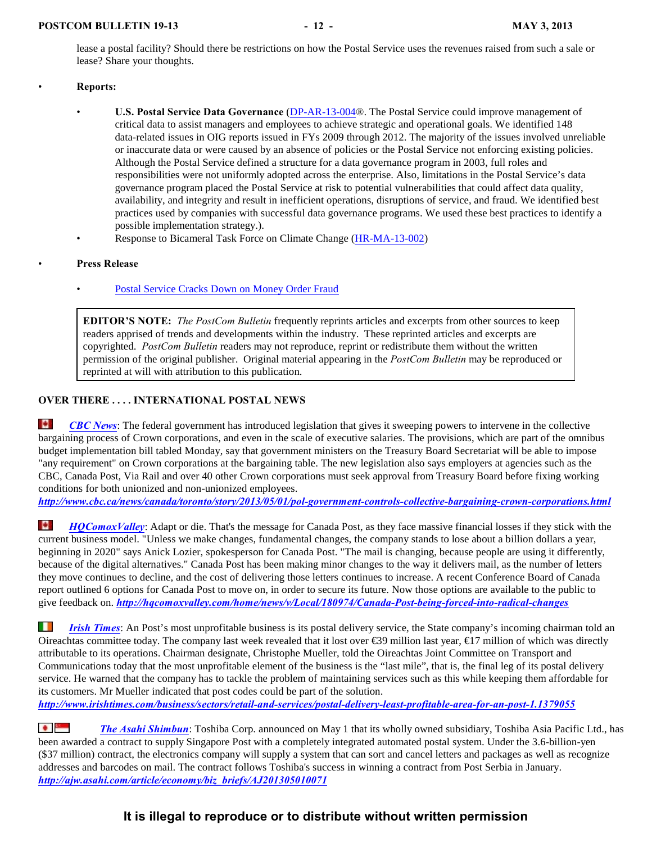lease a postal facility? Should there be restrictions on how the Postal Service uses the revenues raised from such a sale or lease? Share your thoughts.

#### • **Reports:**

- **U.S. Postal Service Data Governance** [\(DP-AR-13-004](https://www.uspsoig.gov/foia_files/dp-ar-13-004(r).pdf)®. The Postal Service could improve management of critical data to assist managers and employees to achieve strategic and operational goals. We identified 148 data-related issues in OIG reports issued in FYs 2009 through 2012. The majority of the issues involved unreliable or inaccurate data or were caused by an absence of policies or the Postal Service not enforcing existing policies. Although the Postal Service defined a structure for a data governance program in 2003, full roles and responsibilities were not uniformly adopted across the enterprise. Also, limitations in the Postal Service's data governance program placed the Postal Service at risk to potential vulnerabilities that could affect data quality, availability, and integrity and result in inefficient operations, disruptions of service, and fraud. We identified best practices used by companies with successful data governance programs. We used these best practices to identify a possible implementation strategy.).
- Response to Bicameral Task Force on Climate Change [\(HR-MA-13-002](file:///|//http///links.govdelivery.com/track?type=click&enid=ZWFzPTEmbWFpbGluZ2lkPTIwMTMwNDMwLjE4MzEwODUxJm1lc3NhZ2VpZD1NREItUFJELUJVTC0yMDEzMDQzMC4xODMxMDg1MSZkYXRhYmFzZWlkPTEwMDEmc2VyaWFsPTE3NTQzMzQwJmVtYWlsaWQ9amxvd3JhbmNlQHBvc3Rjb20ub3JnJnVzZXJpZD1qbG93cmFuY2VAcG9z))

#### • **Press Release**

[Postal Service Cracks Down on Money Order Fraud](https://www.uspsoig.gov/detail_story.cfm?ID=33)

**EDITOR'S NOTE:** *The PostCom Bulletin* frequently reprints articles and excerpts from other sources to keep readers apprised of trends and developments within the industry. These reprinted articles and excerpts are copyrighted. *PostCom Bulletin* readers may not reproduce, reprint or redistribute them without the written permission of the original publisher. Original material appearing in the *PostCom Bulletin* may be reproduced or reprinted at will with attribution to this publication.

#### **OVER THERE . . . . INTERNATIONAL POSTAL NEWS**

n. *[CBC News](http://www.cbc.ca/news/canada/toronto/story/2013/05/01/pol-government-controls-collective-bargaining-crown-corporations.html)*: The federal government has introduced legislation that gives it sweeping powers to intervene in the collective bargaining process of Crown corporations, and even in the scale of executive salaries. The provisions, which are part of the omnibus budget implementation bill tabled Monday, say that government ministers on the Treasury Board Secretariat will be able to impose "any requirement" on Crown corporations at the bargaining table. The new legislation also says employers at agencies such as the CBC, Canada Post, Via Rail and over 40 other Crown corporations must seek approval from Treasury Board before fixing working conditions for both unionized and non-unionized employees.

*<http://www.cbc.ca/news/canada/toronto/story/2013/05/01/pol-government-controls-collective-bargaining-crown-corporations.html>*

le. *[HQComoxValley](http://hqcomoxvalley.com/home/news/v/Local/180974/Canada-Post-being-forced-into-radical-changes)*: Adapt or die. That's the message for Canada Post, as they face massive financial losses if they stick with the current business model. "Unless we make changes, fundamental changes, the company stands to lose about a billion dollars a year, beginning in 2020" says Anick Lozier, spokesperson for Canada Post. "The mail is changing, because people are using it differently, because of the digital alternatives." Canada Post has been making minor changes to the way it delivers mail, as the number of letters they move continues to decline, and the cost of delivering those letters continues to increase. A recent Conference Board of Canada report outlined 6 options for Canada Post to move on, in order to secure its future. Now those options are available to the public to give feedback on. *<http://hqcomoxvalley.com/home/news/v/Local/180974/Canada-Post-being-forced-into-radical-changes>*

H. *[Irish Times](http://www.irishtimes.com/business/sectors/retail-and-services/postal-delivery-least-profitable-area-for-an-post-1.1379055)*: An Post's most unprofitable business is its postal delivery service, the State company's incoming chairman told an Oireachtas committee today. The company last week revealed that it lost over  $\epsilon$ 39 million last year,  $\epsilon$ 17 million of which was directly attributable to its operations. Chairman designate, Christophe Mueller, told the Oireachtas Joint Committee on Transport and Communications today that the most unprofitable element of the business is the "last mile", that is, the final leg of its postal delivery service. He warned that the company has to tackle the problem of maintaining services such as this while keeping them affordable for its customers. Mr Mueller indicated that post codes could be part of the solution.

*<http://www.irishtimes.com/business/sectors/retail-and-services/postal-delivery-least-profitable-area-for-an-post-1.1379055>*

**[The Asahi Shimbun](http://ajw.asahi.com/article/economy/biz_briefs/AJ201305010071):** Toshiba Corp. announced on May 1 that its wholly owned subsidiary, Toshiba Asia Pacific Ltd., has been awarded a contract to supply Singapore Post with a completely integrated automated postal system. Under the 3.6-billion-yen (\$37 million) contract, the electronics company will supply a system that can sort and cancel letters and packages as well as recognize addresses and barcodes on mail. The contract follows Toshiba's success in winning a contract from Post Serbia in January. *[http://ajw.asahi.com/article/economy/biz\\_briefs/AJ201305010071](http://ajw.asahi.com/article/economy/biz_briefs/AJ201305010071)*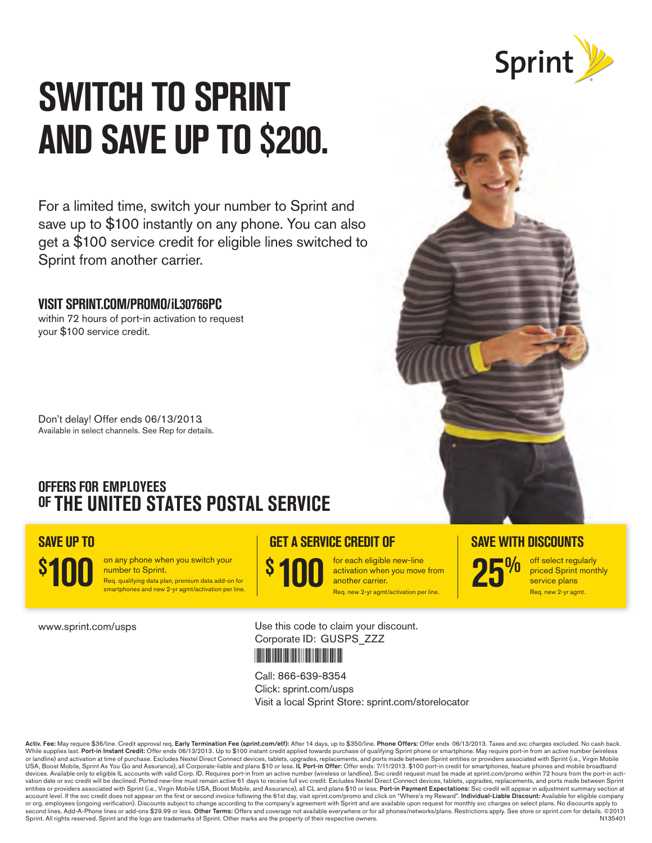

# **SWITCH TO SPRINT AND SAVE UP TO \$200.**

For a limited time, switch your number to Sprint and save up to \$100 instantly on any phone. You can also get a \$100 service credit for eligible lines switched to Sprint from another carrier.

# **VISIT SPRINT.COM/PROMO/ iL30766PC**

within 72 hours of port-in activation to request your \$100 service credit.

Don't delay! Offer ends 06/13/2013 Available in select channels. See Rep for details.

# **OFFERS FOR EMPLOYEES OF THE UNITED STATES POSTAL SERVICE**

# **SAVE UP TO**

number to Sprint. **100 \$**

on any phone when you switch your Req. qualifying data plan, premium data add-on for smartphones and new 2-yr agmt/activation per line

 $\frac{\$}{\$}$  **100**  $\frac{\$$  for each eligible new-line<br>another carrier.<br>Req. new 2-yr agmt/activation per line. activation when you move from another carrier. Req. new 2-yr agmt/activation per line.



off select regularly priced Sprint monthly service plans Req. new 2-yr agmt.

www.sprint.com/usps

Use this code to claim your discount. Corporate ID: GUSPS\_ZZZ



#### Call: 866-639-8354

Click: sprint.com/usps Visit a local Sprint Store: sprint.com/storelocator

Activ. Fee: May require \$36/line. Credit approval req. Earl**y Termination Fee (sprint.com/etf)**: After 14 days, up to \$350/line. Phone Offers: Offer ends 06/13/2013. Taxes and svc charges excluded. No cash back.<br>While supp USA, Boost Mobile, Sprint As You Go and Assurance), all Corporate-liable and plans \$10 or less. I**L Port-in Offer:** Offer ends: 7/11/2013. \$100 port-in credit for smartphones, feature phones and mobile broadband<br>devices. A entities or providers associated with Sprint (i.e., Virgin Mobile USA, Boost Mobile, and Assurance), all CL and plans \$10 or less. **Port-in Payment Expectations:** Svc credit will appear in adjustment summary section at<br>acc second lines, Add-A-Phone lines or add-ons \$29.99 or less. **Other Terms:** Offers and coverage not available everywhere or for all phones/networks/plans. Restrictions apply. See store or sprint.com for details. ©2013 Sprint. All rights reserved. Sprint and the logo are trademarks of Sprint. Other marks are the property of their respective owners. N135401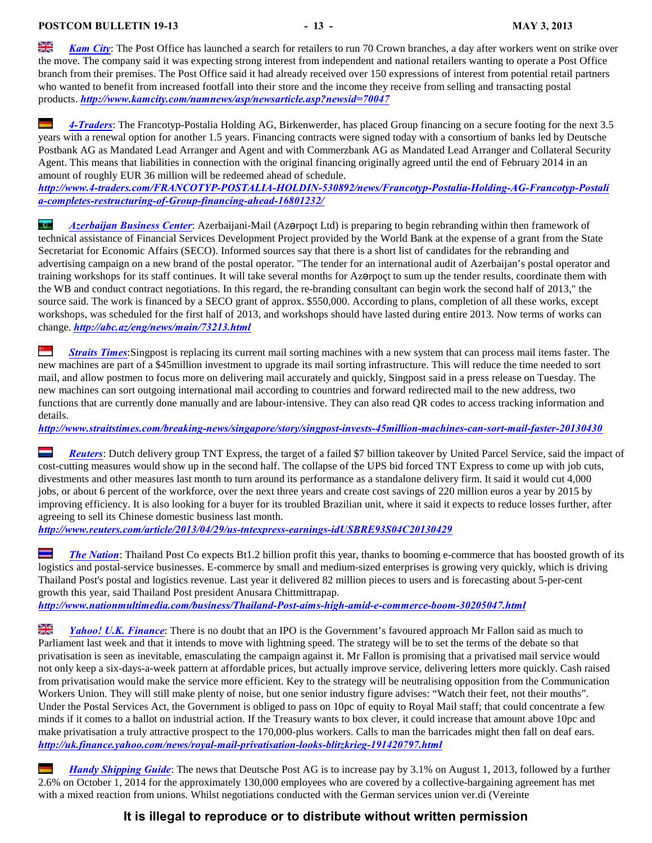ale<br>26 *[Kam City](http://www.kamcity.com/namnews/asp/newsarticle.asp?newsid=70047)*: The Post Office has launched a search for retailers to run 70 Crown branches, a day after workers went on strike over the move. The company said it was expecting strong interest from independent and national retailers wanting to operate a Post Office branch from their premises. The Post Office said it had already received over 150 expressions of interest from potential retail partners who wanted to benefit from increased footfall into their store and the income they receive from selling and transacting postal products. *<http://www.kamcity.com/namnews/asp/newsarticle.asp?newsid=70047>*

*[4-Traders](http://www.4-traders.com/FRANCOTYP-POSTALIA-HOLDIN-530892/news/Francotyp-Postalia-Holding-AG-Francotyp-Postalia-completes-restructuring-of-Group-financing-ahead-16801232/)*: The Francotyp-Postalia Holding AG, Birkenwerder, has placed Group financing on a secure footing for the next 3.5 years with a renewal option for another 1.5 years. Financing contracts were signed today with a consortium of banks led by Deutsche Postbank AG as Mandated Lead Arranger and Agent and with Commerzbank AG as Mandated Lead Arranger and Collateral Security Agent. This means that liabilities in connection with the original financing originally agreed until the end of February 2014 in an amount of roughly EUR 36 million will be redeemed ahead of schedule.

*[http://www.4-traders.com/FRANCOTYP-POSTALIA-HOLDIN-530892/news/Francotyp-Postalia-Holding-AG-Francotyp-Postali](http://www.4-traders.com/FRANCOTYP-POSTALIA-HOLDIN-530892/news/Francotyp-Postalia-Holding-AG-Francotyp-Postalia-completes-restructuring-of-Group-financing-ahead-16801232/) [a-completes-restructuring-of-Group-financing-ahead-16801232/](http://www.4-traders.com/FRANCOTYP-POSTALIA-HOLDIN-530892/news/Francotyp-Postalia-Holding-AG-Francotyp-Postalia-completes-restructuring-of-Group-financing-ahead-16801232/)*

þ *[Azerbaijan Business Center](http://abc.az/eng/news/main/73213.html)*: Azerbaijani-Mail (Azcrpoçt Ltd) is preparing to begin rebranding within then framework of technical assistance of Financial Services Development Project provided by the World Bank at the expense of a grant from the State Secretariat for Economic Affairs (SECO). Informed sources say that there is a short list of candidates for the rebranding and advertising campaign on a new brand of the postal operator. "The tender for an international audit of Azerbaijan's postal operator and training workshops for its staff continues. It will take several months for Az $\sigma$ ppoct to sum up the tender results, coordinate them with the WB and conduct contract negotiations. In this regard, the re-branding consultant can begin work the second half of 2013," the source said. The work is financed by a SECO grant of approx. \$550,000. According to plans, completion of all these works, except workshops, was scheduled for the first half of 2013, and workshops should have lasted during entire 2013. Now terms of works can change. *<http://abc.az/eng/news/main/73213.html>*

*[Straits Times](http://www.straitstimes.com/breaking-news/singapore/story/singpost-invests-45million-machines-can-sort-mail-faster-20130430)*:Singpost is replacing its current mail sorting machines with a new system that can process mail items faster. The **STEP** new machines are part of a \$45million investment to upgrade its mail sorting infrastructure. This will reduce the time needed to sort mail, and allow postmen to focus more on delivering mail accurately and quickly, Singpost said in a press release on Tuesday. The new machines can sort outgoing international mail according to countries and forward redirected mail to the new address, two functions that are currently done manually and are labour-intensive. They can also read QR codes to access tracking information and details.

*<http://www.straitstimes.com/breaking-news/singapore/story/singpost-invests-45million-machines-can-sort-mail-faster-20130430>*

 $\equiv$ *[Reuters](http://www.reuters.com/article/2013/04/29/us-tntexpress-earnings-idUSBRE93S04C20130429)*: Dutch delivery group TNT Express, the target of a failed \$7 billion takeover by United Parcel Service, said the impact of cost-cutting measures would show up in the second half. The collapse of the UPS bid forced TNT Express to come up with job cuts, divestments and other measures last month to turn around its performance as a standalone delivery firm. It said it would cut 4,000 jobs, or about 6 percent of the workforce, over the next three years and create cost savings of 220 million euros a year by 2015 by improving efficiency. It is also looking for a buyer for its troubled Brazilian unit, where it said it expects to reduce losses further, after agreeing to sell its Chinese domestic business last month.

*<http://www.reuters.com/article/2013/04/29/us-tntexpress-earnings-idUSBRE93S04C20130429>*

*[The Nation](http://www.nationmultimedia.com/business/Thailand-Post-aims-high-amid-e-commerce-boom-30205047.html)*: Thailand Post Co expects Bt1.2 billion profit this year, thanks to booming e-commerce that has boosted growth of its logistics and postal-service businesses. E-commerce by small and medium-sized enterprises is growing very quickly, which is driving Thailand Post's postal and logistics revenue. Last year it delivered 82 million pieces to users and is forecasting about 5-per-cent growth this year, said Thailand Post president Anusara Chittmittrapap. *<http://www.nationmultimedia.com/business/Thailand-Post-aims-high-amid-e-commerce-boom-30205047.html>*

질년<br>지도 *[Yahoo! U.K. Finance](http://uk.finance.yahoo.com/news/royal-mail-privatisation-looks-blitzkrieg-191420797.html)*: There is no doubt that an IPO is the Government's favoured approach Mr Fallon said as much to Parliament last week and that it intends to move with lightning speed. The strategy will be to set the terms of the debate so that privatisation is seen as inevitable, emasculating the campaign against it. Mr Fallon is promising that a privatised mail service would not only keep a six-days-a-week pattern at affordable prices, but actually improve service, delivering letters more quickly. Cash raised from privatisation would make the service more efficient. Key to the strategy will be neutralising opposition from the Communication Workers Union. They will still make plenty of noise, but one senior industry figure advises: "Watch their feet, not their mouths". Under the Postal Services Act, the Government is obliged to pass on 10pc of equity to Royal Mail staff; that could concentrate a few minds if it comes to a ballot on industrial action. If the Treasury wants to box clever, it could increase that amount above 10pc and make privatisation a truly attractive prospect to the 170,000-plus workers. Calls to man the barricades might then fall on deaf ears. *<http://uk.finance.yahoo.com/news/royal-mail-privatisation-looks-blitzkrieg-191420797.html>*

*[Handy Shipping Guide](http://www.handyshippingguide.com/shipping-news/freight-and-logistics-giant-increases-wages-but-not-for-all_4554)*: The news that Deutsche Post AG is to increase pay by 3.1% on August 1, 2013, followed by a further 2.6% on October 1, 2014 for the approximately 130,000 employees who are covered by a collective-bargaining agreement has met with a mixed reaction from unions. Whilst negotiations conducted with the German services union ver.di (Vereinte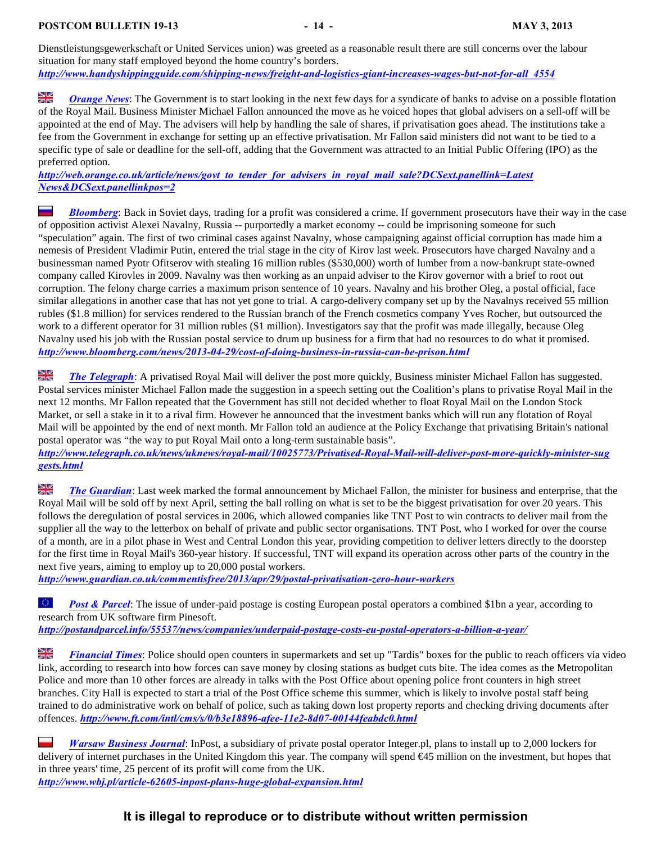Dienstleistungsgewerkschaft or United Services union) was greeted as a reasonable result there are still concerns over the labour situation for many staff employed beyond the home country's borders. *[http://www.handyshippingguide.com/shipping-news/freight-and-logistics-giant-increases-wages-but-not-for-all\\_4554](http://www.handyshippingguide.com/shipping-news/freight-and-logistics-giant-increases-wages-but-not-for-all_4554)*

질년<br>지도 *[Orange News](http://web.orange.co.uk/article/news/govt_to_tender_for_advisers_in_royal_mail_sale?DCSext.panellink=Latest%20News&DCSext.panellinkpos=2)*: The Government is to start looking in the next few days for a syndicate of banks to advise on a possible flotation of the Royal Mail. Business Minister Michael Fallon announced the move as he voiced hopes that global advisers on a sell-off will be appointed at the end of May. The advisers will help by handling the sale of shares, if privatisation goes ahead. The institutions take a fee from the Government in exchange for setting up an effective privatisation. Mr Fallon said ministers did not want to be tied to a specific type of sale or deadline for the sell-off, adding that the Government was attracted to an Initial Public Offering (IPO) as the preferred option.

*[http://web.orange.co.uk/article/news/govt\\_to\\_tender\\_for\\_advisers\\_in\\_royal\\_mail\\_sale?DCSext.panellink=Latest](http://web.orange.co.uk/article/news/govt_to_tender_for_advisers_in_royal_mail_sale?DCSext.panellink=Latest%20News&DCSext.panellinkpos=2) [News&DCSext.panellinkpos=2](http://web.orange.co.uk/article/news/govt_to_tender_for_advisers_in_royal_mail_sale?DCSext.panellink=Latest%20News&DCSext.panellinkpos=2)*

I *[Bloomberg](http://www.bloomberg.com/news/2013-04-29/cost-of-doing-business-in-russia-can-be-prison.html)*: Back in Soviet days, trading for a profit was considered a crime. If government prosecutors have their way in the case of opposition activist Alexei Navalny, Russia -- purportedly a market economy -- could be imprisoning someone for such "speculation" again. The first of two criminal cases against Navalny, whose campaigning against official corruption has made him a nemesis of President Vladimir Putin, entered the trial stage in the city of Kirov last week. Prosecutors have charged Navalny and a businessman named Pyotr Ofitserov with stealing 16 million rubles (\$530,000) worth of lumber from a now-bankrupt state-owned company called Kirovles in 2009. Navalny was then working as an unpaid adviser to the Kirov governor with a brief to root out corruption. The felony charge carries a maximum prison sentence of 10 years. Navalny and his brother Oleg, a postal official, face similar allegations in another case that has not yet gone to trial. A cargo-delivery company set up by the Navalnys received 55 million rubles (\$1.8 million) for services rendered to the Russian branch of the French cosmetics company Yves Rocher, but outsourced the work to a different operator for 31 million rubles (\$1 million). Investigators say that the profit was made illegally, because Oleg Navalny used his job with the Russian postal service to drum up business for a firm that had no resources to do what it promised. *<http://www.bloomberg.com/news/2013-04-29/cost-of-doing-business-in-russia-can-be-prison.html>*

싶은 *[The Telegraph](http://www.telegraph.co.uk/news/uknews/royal-mail/10025773/Privatised-Royal-Mail-will-deliver-post-more-quickly-minister-suggests.html)*: A privatised Royal Mail will deliver the post more quickly, Business minister Michael Fallon has suggested. Postal services minister Michael Fallon made the suggestion in a speech setting out the Coalition's plans to privatise Royal Mail in the next 12 months. Mr Fallon repeated that the Government has still not decided whether to float Royal Mail on the London Stock Market, or sell a stake in it to a rival firm. However he announced that the investment banks which will run any flotation of Royal Mail will be appointed by the end of next month. Mr Fallon told an audience at the Policy Exchange that privatising Britain's national postal operator was "the way to put Royal Mail onto a long-term sustainable basis".

*[http://www.telegraph.co.uk/news/uknews/royal-mail/10025773/Privatised-Royal-Mail-will-deliver-post-more-quickly-minister-sug](http://www.telegraph.co.uk/news/uknews/royal-mail/10025773/Privatised-Royal-Mail-will-deliver-post-more-quickly-minister-suggests.html) [gests.html](http://www.telegraph.co.uk/news/uknews/royal-mail/10025773/Privatised-Royal-Mail-will-deliver-post-more-quickly-minister-suggests.html)*

읡 *[The Guardian](http://www.guardian.co.uk/commentisfree/2013/apr/29/postal-privatisation-zero-hour-workers)*: Last week marked the formal announcement by Michael Fallon, the minister for business and enterprise, that the Royal Mail will be sold off by next April, setting the ball rolling on what is set to be the biggest privatisation for over 20 years. This follows the deregulation of postal services in 2006, which allowed companies like TNT Post to win contracts to deliver mail from the supplier all the way to the letterbox on behalf of private and public sector organisations. TNT Post, who I worked for over the course of a month, are in a pilot phase in West and Central London this year, providing competition to deliver letters directly to the doorstep for the first time in Royal Mail's 360-year history. If successful, TNT will expand its operation across other parts of the country in the next five years, aiming to employ up to 20,000 postal workers.

*<http://www.guardian.co.uk/commentisfree/2013/apr/29/postal-privatisation-zero-hour-workers>*

 $\langle \xi, \xi \rangle$ *[Post & Parcel](http://postandparcel.info/55537/news/companies/underpaid-postage-costs-eu-postal-operators-a-billion-a-year/):* The issue of under-paid postage is costing European postal operators a combined \$1bn a year, according to research from UK software firm Pinesoft.

*<http://postandparcel.info/55537/news/companies/underpaid-postage-costs-eu-postal-operators-a-billion-a-year/>*

읡 *[Financial Times](http://www.ft.com/intl/cms/s/0/b3e18896-afee-11e2-8d07-00144feabdc0.html)*: Police should open counters in supermarkets and set up "Tardis" boxes for the public to reach officers via video link, according to research into how forces can save money by closing stations as budget cuts bite. The idea comes as the Metropolitan Police and more than 10 other forces are already in talks with the Post Office about opening police front counters in high street branches. City Hall is expected to start a trial of the Post Office scheme this summer, which is likely to involve postal staff being trained to do administrative work on behalf of police, such as taking down lost property reports and checking driving documents after offences. *<http://www.ft.com/intl/cms/s/0/b3e18896-afee-11e2-8d07-00144feabdc0.html>*

*[Warsaw Business Journal](http://www.wbj.pl/article-62605-inpost-plans-huge-global-expansion.html)*: InPost, a subsidiary of private postal operator Integer.pl, plans to install up to 2,000 lockers for delivery of internet purchases in the United Kingdom this year. The company will spend €45 million on the investment, but hopes that in three years' time, 25 percent of its profit will come from the UK. *<http://www.wbj.pl/article-62605-inpost-plans-huge-global-expansion.html>*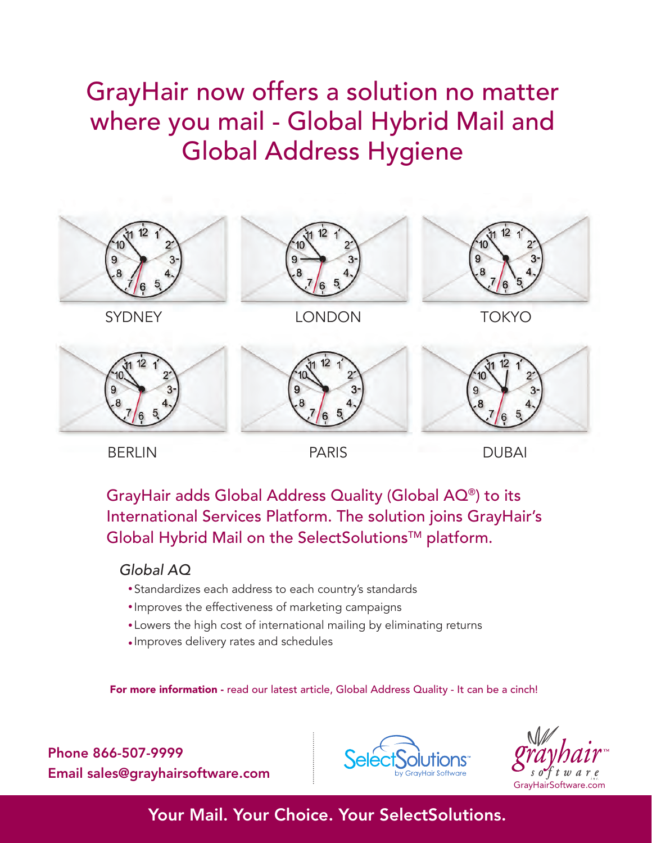# GrayHair now offers a solution no matter where you mail - Global Hybrid Mail and Global Address Hygiene



BERLIN PARIS DUBAI

GrayHair adds Global Address Quality (Global AQ®) to its International Services Platform. The solution joins GrayHair's Global Hybrid Mail on the SelectSolutions™ platform.

# *Global AQ*

- n Standardizes each address to each country's standards
- $\bullet$  Improves the effectiveness of marketing campaigns  $\overline{\phantom{\phi}}$
- Lowers the high cost of international mailing by eliminating returns
- Improves delivery rates and schedules

For more information - [read our latest article, Global Address Quality - It can be a cinch!](http://www.grayhairsoftware.com/sites/default/files/GrayHair_GlobalHybridMail_White%20Paper.pdf)

Phone 866-507-9999 Email sales@grayhairsoftware.com



[GrayHairSoftware.com](http://www.GrayHairSoftware.com)

# Your Mail. Your Choice. Your SelectSolutions.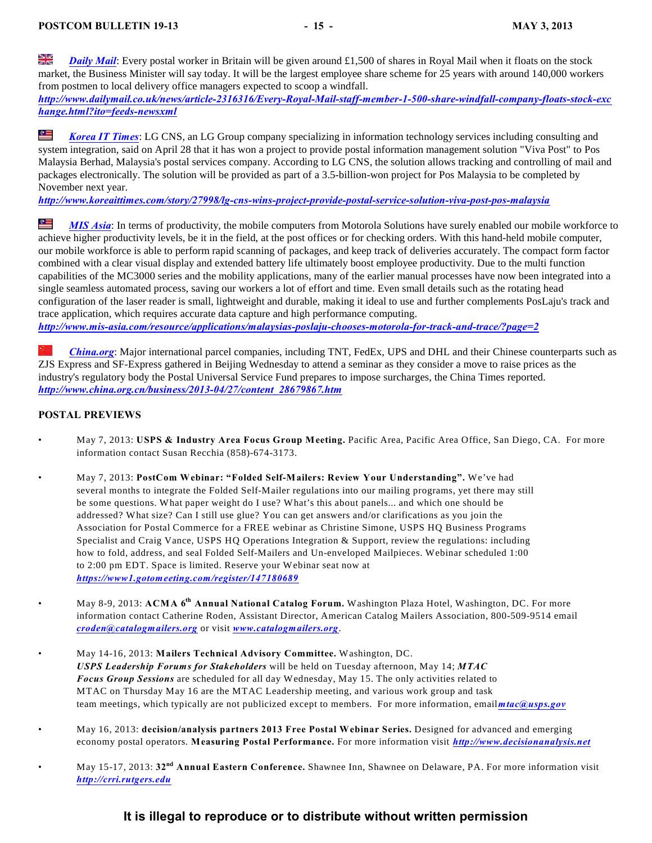꼵 *[Daily Mail](http://www.dailymail.co.uk/news/article-2316316/Every-Royal-Mail-staff-member-1-500-share-windfall-company-floats-stock-exchange.html?ito=feeds-newsxml)*: Every postal worker in Britain will be given around £1,500 of shares in Royal Mail when it floats on the stock market, the Business Minister will say today. It will be the largest employee share scheme for 25 years with around 140,000 workers from postmen to local delivery office managers expected to scoop a windfall.

*[http://www.dailymail.co.uk/news/article-2316316/Every-Royal-Mail-staff-member-1-500-share-windfall-company-floats-stock-exc](http://www.dailymail.co.uk/news/article-2316316/Every-Royal-Mail-staff-member-1-500-share-windfall-company-floats-stock-exchange.html?ito=feeds-newsxml) [hange.html?ito=feeds-newsxml](http://www.dailymail.co.uk/news/article-2316316/Every-Royal-Mail-staff-member-1-500-share-windfall-company-floats-stock-exchange.html?ito=feeds-newsxml)*

R *[Korea IT Times](http://www.koreaittimes.com/story/27998/lg-cns-wins-project-provide-postal-service-solution-viva-post-pos-malaysia)*: LG CNS, an LG Group company specializing in information technology services including consulting and system integration, said on April 28 that it has won a project to provide postal information management solution "Viva Post" to Pos Malaysia Berhad, Malaysia's postal services company. According to LG CNS, the solution allows tracking and controlling of mail and packages electronically. The solution will be provided as part of a 3.5-billion-won project for Pos Malaysia to be completed by November next year.

*<http://www.koreaittimes.com/story/27998/lg-cns-wins-project-provide-postal-service-solution-viva-post-pos-malaysia>*

쪽 *[MIS Asia](http://www.mis-asia.com/resource/applications/malaysias-poslaju-chooses-motorola-for-track-and-trace/?page=2)*: In terms of productivity, the mobile computers from Motorola Solutions have surely enabled our mobile workforce to achieve higher productivity levels, be it in the field, at the post offices or for checking orders. With this hand-held mobile computer, our mobile workforce is able to perform rapid scanning of packages, and keep track of deliveries accurately. The compact form factor combined with a clear visual display and extended battery life ultimately boost employee productivity. Due to the multi function capabilities of the MC3000 series and the mobility applications, many of the earlier manual processes have now been integrated into a single seamless automated process, saving our workers a lot of effort and time. Even small details such as the rotating head configuration of the laser reader is small, lightweight and durable, making it ideal to use and further complements PosLaju's track and trace application, which requires accurate data capture and high performance computing. *<http://www.mis-asia.com/resource/applications/malaysias-poslaju-chooses-motorola-for-track-and-trace/?page=2>*

*[China.org](http://www.china.org.cn/business/2013-04/27/content_28679867.htm)*: Major international parcel companies, including TNT, FedEx, UPS and DHL and their Chinese counterparts such as ZJS Express and SF-Express gathered in Beijing Wednesday to attend a seminar as they consider a move to raise prices as the industry's regulatory body the Postal Universal Service Fund prepares to impose surcharges, the China Times reported. *[http://www.china.org.cn/business/2013-04/27/content\\_28679867.htm](http://www.china.org.cn/business/2013-04/27/content_28679867.htm)*

#### <span id="page-16-0"></span>**POSTAL PREVIEWS**

- May 7, 2013: **USPS & Industry Area Focus Group Meeting.** Pacific Area, Pacific Area Office, San Diego, CA. For more information contact Susan Recchia (858)-674-3173.
- May 7, 2013: **PostCom Webinar: "Folded Self-Mailers: Review Your Understanding".** We've had several months to integrate the Folded Self-Mailer regulations into our mailing programs, yet there may still be some questions. What paper weight do I use? What's this about panels... and which one should be addressed? What size? Can I still use glue? You can get answers and/or clarifications as you join the Association for Postal Commerce for a FREE webinar as Christine Simone, USPS HQ Business Programs Specialist and Craig Vance, USPS HQ Operations Integration & Support, review the regulations: including how to fold, address, and seal Folded Self-Mailers and Un-enveloped Mailpieces. Webinar scheduled 1:00 to 2:00 pm EDT. Space is limited. Reserve your Webinar seat now at *<https://www1.gotomeeting.com/register/147180689>*
- May 8-9, 2013: ACMA 6<sup>th</sup> Annual National Catalog Forum. Washington Plaza Hotel, Washington, DC. For more information contact Catherine Roden, Assistant Director, American Catalog Mailers Association, 800-509-9514 email *[croden@catalogmailers.org](mailto:croden@catalogmailers.org)* or visit *[www.catalogmailers.org](http://www.catalogmailers.org.)*.
- May 14-16, 2013: **Mailers Technical Advisory Committee.** Washington, DC. *USPS Leadership Forums for Stakeholders* will be held on Tuesday afternoon, May 14; *MTAC Focus Group Sessions* are scheduled for all day Wednesday, May 15. The only activities related to MTAC on Thursday May 16 are the MTAC Leadership meeting, and various work group and task team meetings, which typically are not publicized except to members. For more information, email*[mtac@usps.gov](mailto:mtac@usps.gov)*
- May 16, 2013: **decision/analysis partners 2013 Free Postal Webinar Series.** Designed for advanced and emerging economy postal operators. **Measuring Postal Performance.** For more information visit *[http://www.decisionanalysis.net](http://www.decisionanalysis.net.)*
- May 15-17, 2013: 32<sup>nd</sup> Annual Eastern Conference. Shawnee Inn, Shawnee on Delaware, PA. For more information visit *[http://crri.rutgers.edu](http://crrirutgers.edu.)*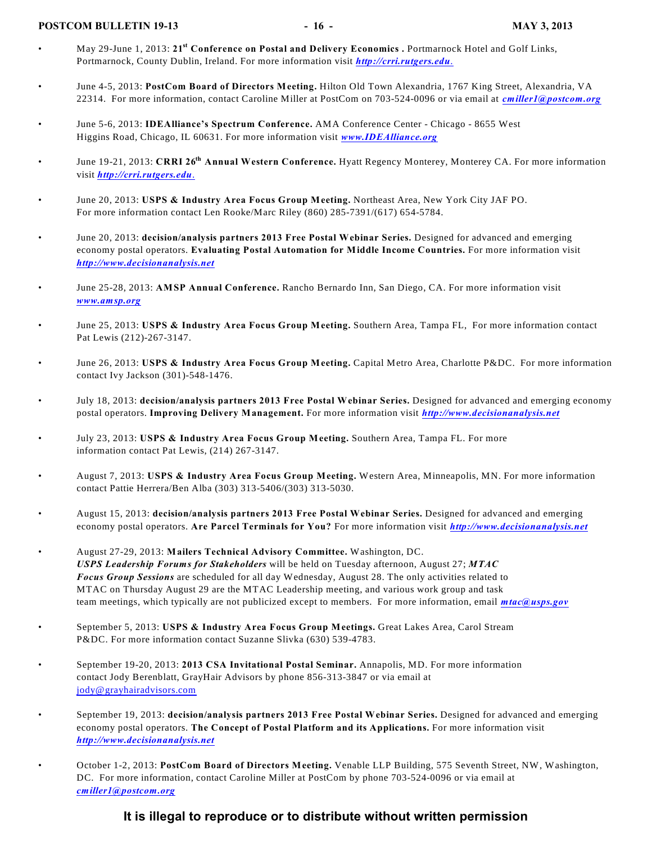#### **POSTCOM BULLETIN 19-13** - 16 - MAY 3, 2013

- May 29-June 1, 2013: 21<sup>st</sup> Conference on Postal and Delivery Economics . Portmarnock Hotel and Golf Links, Portmarnock, County Dublin, Ireland. For more information visit *[http://crri.rutgers.edu](http://crri.rutgers.edu.)*.
- June 4-5, 2013: **PostCom Board of Directors Meeting.** Hilton Old Town Alexandria, 1767 King Street, Alexandria, VA 22314. For more information, contact Caroline Miller at PostCom on 703-524-0096 or via email at *[cmiller1@postcom.org](mailto:cmiller1@postcom.org)*
- June 5-6, 2013: **IDEAlliance's Spectrum Conference.** AMA Conference Center Chicago 8655 West Higgins Road, Chicago, IL 60631. For more information visit *[www.IDEAlliance.org](http://www.IDEAlliance.org)*
- June 19-21, 2013: **CRRI 26 Annual Western Conference.** Hyatt Regency Monterey, Monterey CA. For more information **th** visit *[http://crri.rutgers.edu](http://crri.rutgers.edu.)*.
- June 20, 2013: **USPS & Industry Area Focus Group Meeting.** Northeast Area, New York City JAF PO. For more information contact Len Rooke/Marc Riley (860) 285-7391/(617) 654-5784.
- June 20, 2013: **decision/analysis partners 2013 Free Postal Webinar Series.** Designed for advanced and emerging economy postal operators. **Evaluating Postal Automation for Middle Income Countries.** For more information visit *[http://www.decisionanalysis.net](http://www.decisionanalysis.net.)*
- June 25-28, 2013: **AMSP Annual Conference.** Rancho Bernardo Inn, San Diego, CA. For more information visit *[www.amsp.org](http://www.amsp.org)*
- June 25, 2013: **USPS & Industry Area Focus Group Meeting.** Southern Area, Tampa FL, For more information contact Pat Lewis (212)-267-3147.
- June 26, 2013: **USPS & Industry Area Focus Group Meeting.** Capital Metro Area, Charlotte P&DC. For more information contact Ivy Jackson (301)-548-1476.
- July 18, 2013: **decision/analysis partners 2013 Free Postal Webinar Series.** Designed for advanced and emerging economy postal operators. **Improving Delivery Management.** For more information visit *[http://www.decisionanalysis.net](http://www.decisionanalysis.net.)*
- July 23, 2013: **USPS & Industry Area Focus Group Meeting.** Southern Area, Tampa FL. For more information contact Pat Lewis, (214) 267-3147.
- August 7, 2013: **USPS & Industry Area Focus Group Meeting.** Western Area, Minneapolis, MN. For more information contact Pattie Herrera/Ben Alba (303) 313-5406/(303) 313-5030.
- August 15, 2013: **decision/analysis partners 2013 Free Postal Webinar Series.** Designed for advanced and emerging economy postal operators. **Are Parcel Terminals for You?** For more information visit *[http://www.decisionanalysis.net](http://www.decisionanalysis.net.)*
- August 27-29, 2013: **Mailers Technical Advisory Committee.** Washington, DC. *USPS Leadership Forums for Stakeholders* will be held on Tuesday afternoon, August 27; *MTAC Focus Group Sessions* are scheduled for all day Wednesday, August 28. The only activities related to MTAC on Thursday August 29 are the MTAC Leadership meeting, and various work group and task team meetings, which typically are not publicized except to members. For more information, email *[mtac@usps.gov](mailto:mtac@usps.gov)*
- September 5, 2013: **USPS & Industry Area Focus Group Meetings.** Great Lakes Area, Carol Stream P&DC. For more information contact Suzanne Slivka (630) 539-4783.
- September 19-20, 2013: **2013 CSA Invitational Postal Seminar.** Annapolis, MD. For more information contact Jody Berenblatt, GrayHair Advisors by phone 856-313-3847 or via email at [jody@grayhairadvisors.com](mailto:jody@grayhairadvisors.com)
- September 19, 2013: **decision/analysis partners 2013 Free Postal Webinar Series.** Designed for advanced and emerging economy postal operators. **The Concept of Postal Platform and its Applications.** For more information visit *[http://www.decisionanalysis.net](http://www.decisionanalysis.net.)*
- October 1-2, 2013: **PostCom Board of Directors Meeting.** Venable LLP Building, 575 Seventh Street, NW, Washington, DC. For more information, contact Caroline Miller at PostCom by phone 703-524-0096 or via email at *[cmiller1@postcom.org](mailto:cmiller1@postcom.org)*